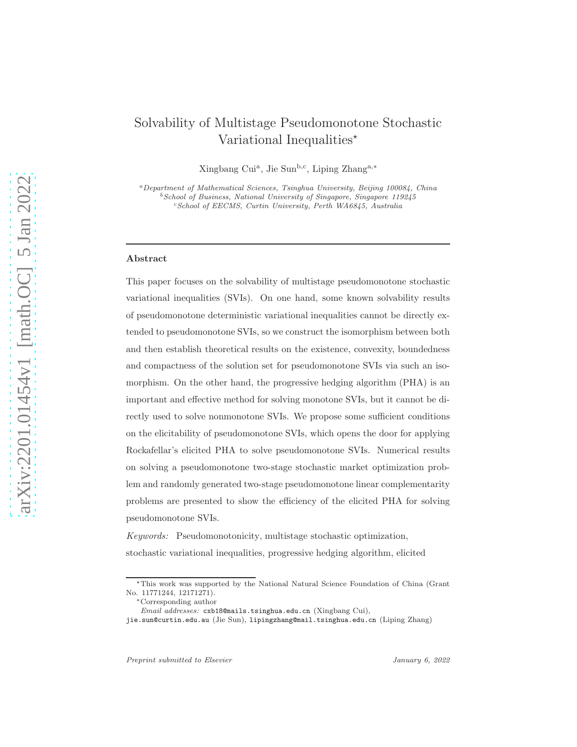# Solvability of Multistage Pseudomonotone Stochastic Variational Inequalities $\star$

Xingbang Cui<sup>a</sup>, Jie Sun<sup>b,c</sup>, Liping Zhang<sup>a,∗</sup>

<sup>a</sup>Department of Mathematical Sciences, Tsinghua University, Beijing 100084, China  $b$  School of Business, National University of Singapore, Singapore 119245 <sup>c</sup>School of EECMS, Curtin University, Perth WA6845, Australia

#### Abstract

This paper focuses on the solvability of multistage pseudomonotone stochastic variational inequalities (SVIs). On one hand, some known solvability results of pseudomonotone deterministic variational inequalities cannot be directly extended to pseudomonotone SVIs, so we construct the isomorphism between both and then establish theoretical results on the existence, convexity, boundedness and compactness of the solution set for pseudomonotone SVIs via such an isomorphism. On the other hand, the progressive hedging algorithm (PHA) is an important and effective method for solving monotone SVIs, but it cannot be directly used to solve nonmonotone SVIs. We propose some sufficient conditions on the elicitability of pseudomonotone SVIs, which opens the door for applying Rockafellar's elicited PHA to solve pseudomonotone SVIs. Numerical results on solving a pseudomonotone two-stage stochastic market optimization problem and randomly generated two-stage pseudomonotone linear complementarity problems are presented to show the efficiency of the elicited PHA for solving pseudomonotone SVIs.

Keywords: Pseudomonotonicity, multistage stochastic optimization, stochastic variational inequalities, progressive hedging algorithm, elicited

<sup>⋆</sup>This work was supported by the National Natural Science Foundation of China (Grant No. 11771244, 12171271).

<sup>∗</sup>Corresponding author

Email addresses: cxb18@mails.tsinghua.edu.cn (Xingbang Cui),

jie.sun@curtin.edu.au (Jie Sun), lipingzhang@mail.tsinghua.edu.cn (Liping Zhang)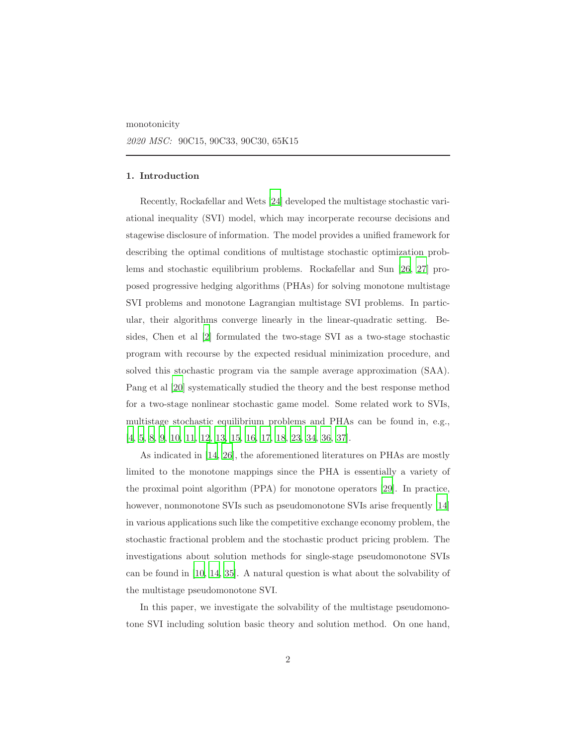monotonicity

## 1. Introduction

Recently, Rockafellar and Wets [\[24\]](#page-37-0) developed the multistage stochastic variational inequality (SVI) model, which may incorperate recourse decisions and stagewise disclosure of information. The model provides a unified framework for describing the optimal conditions of multistage stochastic optimization problems and stochastic equilibrium problems. Rockafellar and Sun [\[26,](#page-37-1) [27\]](#page-37-2) proposed progressive hedging algorithms (PHAs) for solving monotone multistage SVI problems and monotone Lagrangian multistage SVI problems. In particular, their algorithms converge linearly in the linear-quadratic setting. Besides, Chen et al [\[2](#page-34-0)] formulated the two-stage SVI as a two-stage stochastic program with recourse by the expected residual minimization procedure, and solved this stochastic program via the sample average approximation (SAA). Pang et al [\[20\]](#page-36-0) systematically studied the theory and the best response method for a two-stage nonlinear stochastic game model. Some related work to SVIs, multistage stochastic equilibrium problems and PHAs can be found in, e.g., [\[4,](#page-35-0) [5,](#page-35-1) [8,](#page-35-2) [9,](#page-35-3) [10,](#page-35-4) [11,](#page-35-5) [12,](#page-35-6) [13,](#page-36-1) [15,](#page-36-2) [16](#page-36-3), [17](#page-36-4), [18](#page-36-5), [23](#page-37-3), [34](#page-38-0), [36](#page-38-1), [37](#page-38-2)].

As indicated in [\[14,](#page-36-6) [26\]](#page-37-1), the aforementioned literatures on PHAs are mostly limited to the monotone mappings since the PHA is essentially a variety of the proximal point algorithm (PPA) for monotone operators [\[29\]](#page-37-4). In practice, however, nonmonotone SVIs such as pseudomonotone SVIs arise frequently [\[14\]](#page-36-6) in various applications such like the competitive exchange economy problem, the stochastic fractional problem and the stochastic product pricing problem. The investigations about solution methods for single-stage pseudomonotone SVIs can be found in [\[10,](#page-35-4) [14,](#page-36-6) [35\]](#page-38-3). A natural question is what about the solvability of the multistage pseudomonotone SVI.

In this paper, we investigate the solvability of the multistage pseudomonotone SVI including solution basic theory and solution method. On one hand,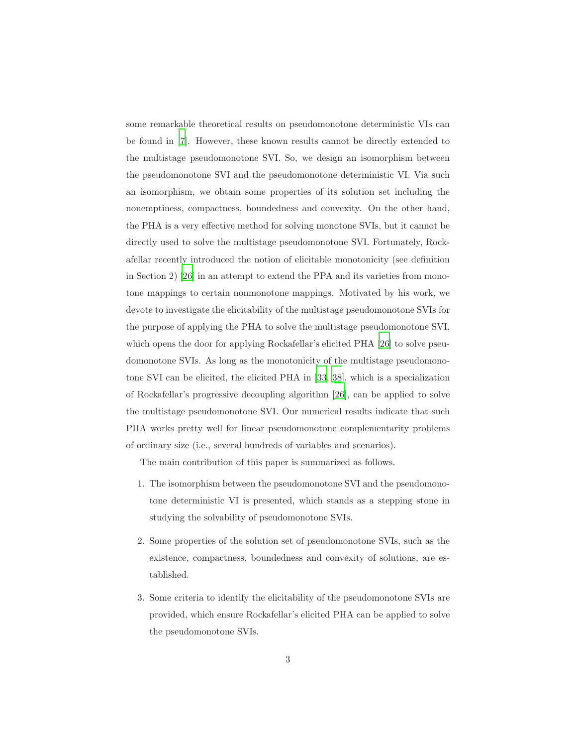some remarkable theoretical results on pseudomonotone deterministic VIs can be found in [\[7](#page-35-7)]. However, these known results cannot be directly extended to the multistage pseudomonotone SVI. So, we design an isomorphism between the pseudomonotone SVI and the pseudomonotone deterministic VI. Via such an isomorphism, we obtain some properties of its solution set including the nonemptiness, compactness, boundedness and convexity. On the other hand, the PHA is a very effective method for solving monotone SVIs, but it cannot be directly used to solve the multistage pseudomonotone SVI. Fortunately, Rockafellar recently introduced the notion of elicitable monotonicity (see definition in Section 2) [\[26\]](#page-37-1) in an attempt to extend the PPA and its varieties from monotone mappings to certain nonmonotone mappings. Motivated by his work, we devote to investigate the elicitability of the multistage pseudomonotone SVIs for the purpose of applying the PHA to solve the multistage pseudomonotone SVI, which opens the door for applying Rockafellar's elicited PHA [\[26](#page-37-1)] to solve pseudomonotone SVIs. As long as the monotonicity of the multistage pseudomonotone SVI can be elicited, the elicited PHA in [\[33,](#page-38-4) [38\]](#page-38-5), which is a specialization of Rockafellar's progressive decoupling algorithm [\[26\]](#page-37-1), can be applied to solve the multistage pseudomonotone SVI. Our numerical results indicate that such PHA works pretty well for linear pseudomonotone complementarity problems of ordinary size (i.e., several hundreds of variables and scenarios).

The main contribution of this paper is summarized as follows.

- 1. The isomorphism between the pseudomonotone SVI and the pseudomonotone deterministic VI is presented, which stands as a stepping stone in studying the solvability of pseudomonotone SVIs.
- 2. Some properties of the solution set of pseudomonotone SVIs, such as the existence, compactness, boundedness and convexity of solutions, are established.
- 3. Some criteria to identify the elicitability of the pseudomonotone SVIs are provided, which ensure Rockafellar's elicited PHA can be applied to solve the pseudomonotone SVIs.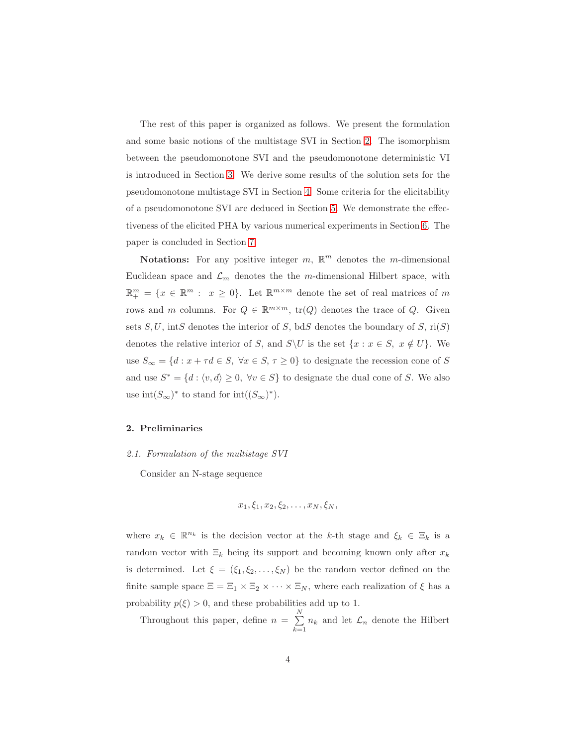The rest of this paper is organized as follows. We present the formulation and some basic notions of the multistage SVI in Section [2.](#page-3-0) The isomorphism between the pseudomonotone SVI and the pseudomonotone deterministic VI is introduced in Section [3.](#page-7-0) We derive some results of the solution sets for the pseudomonotone multistage SVI in Section [4.](#page-10-0) Some criteria for the elicitability of a pseudomonotone SVI are deduced in Section [5.](#page-13-0) We demonstrate the effectiveness of the elicited PHA by various numerical experiments in Section [6.](#page-26-0) The paper is concluded in Section [7.](#page-34-1)

**Notations:** For any positive integer  $m$ ,  $\mathbb{R}^m$  denotes the *m*-dimensional Euclidean space and  $\mathcal{L}_m$  denotes the the m-dimensional Hilbert space, with  $\mathbb{R}^m_+ = \{x \in \mathbb{R}^m : x \geq 0\}$ . Let  $\mathbb{R}^{m \times m}$  denote the set of real matrices of m rows and m columns. For  $Q \in \mathbb{R}^{m \times m}$ ,  $\text{tr}(Q)$  denotes the trace of  $Q$ . Given sets  $S, U$ , intst denotes the interior of S, bdS denotes the boundary of S, ri(S) denotes the relative interior of S, and  $S\setminus U$  is the set  $\{x : x \in S, x \notin U\}$ . We use  $S_{\infty} = \{d : x + \tau d \in S, \ \forall x \in S, \ \tau \geq 0\}$  to designate the recession cone of  $S$ and use  $S^* = \{d : \langle v, d \rangle \ge 0, \forall v \in S\}$  to designate the dual cone of S. We also use  $\mathrm{int}(S_{\infty})^*$  to stand for  $\mathrm{int}((S_{\infty})^*)$ .

## <span id="page-3-0"></span>2. Preliminaries

## 2.1. Formulation of the multistage SVI

Consider an N-stage sequence

$$
x_1, \xi_1, x_2, \xi_2, \ldots, x_N, \xi_N,
$$

where  $x_k \in \mathbb{R}^{n_k}$  is the decision vector at the k-th stage and  $\xi_k \in \Xi_k$  is a random vector with  $\Xi_k$  being its support and becoming known only after  $x_k$ is determined. Let  $\xi = (\xi_1, \xi_2, \dots, \xi_N)$  be the random vector defined on the finite sample space  $\Xi = \Xi_1 \times \Xi_2 \times \cdots \times \Xi_N$ , where each realization of  $\xi$  has a probability  $p(\xi) > 0$ , and these probabilities add up to 1.

Throughout this paper, define  $n = \sum_{n=1}^{N}$  $\sum_{k=1}^{\infty} n_k$  and let  $\mathcal{L}_n$  denote the Hilbert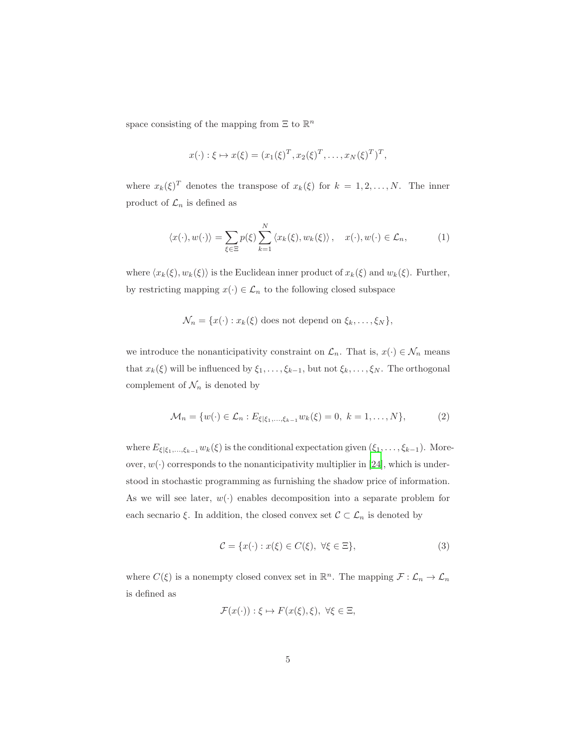space consisting of the mapping from  $\Xi$  to  $\mathbb{R}^n$ 

$$
x(\cdot): \xi \mapsto x(\xi) = (x_1(\xi)^T, x_2(\xi)^T, \dots, x_N(\xi)^T)^T,
$$

where  $x_k(\xi)^T$  denotes the transpose of  $x_k(\xi)$  for  $k = 1, 2, ..., N$ . The inner product of  $\mathcal{L}_n$  is defined as

<span id="page-4-0"></span>
$$
\langle x(\cdot), w(\cdot) \rangle = \sum_{\xi \in \Xi} p(\xi) \sum_{k=1}^{N} \langle x_k(\xi), w_k(\xi) \rangle, \quad x(\cdot), w(\cdot) \in \mathcal{L}_n,
$$
 (1)

where  $\langle x_k(\xi), w_k(\xi) \rangle$  is the Euclidean inner product of  $x_k(\xi)$  and  $w_k(\xi)$ . Further, by restricting mapping  $x(\cdot) \in \mathcal{L}_n$  to the following closed subspace

$$
\mathcal{N}_n = \{x(\cdot) : x_k(\xi) \text{ does not depend on } \xi_k, \dots, \xi_N\},\
$$

we introduce the nonanticipativity constraint on  $\mathcal{L}_n$ . That is,  $x(\cdot) \in \mathcal{N}_n$  means that  $x_k(\xi)$  will be influenced by  $\xi_1, \ldots, \xi_{k-1}$ , but not  $\xi_k, \ldots, \xi_N$ . The orthogonal complement of  $\mathcal{N}_n$  is denoted by

<span id="page-4-1"></span>
$$
\mathcal{M}_n = \{ w(\cdot) \in \mathcal{L}_n : E_{\xi|\xi_1, \dots, \xi_{k-1}} w_k(\xi) = 0, \ k = 1, \dots, N \},\tag{2}
$$

where  $E_{\xi|\xi_1,...,\xi_{k-1}}w_k(\xi)$  is the conditional expectation given  $(\xi_1,...,\xi_{k-1})$ . Moreover,  $w(\cdot)$  corresponds to the nonanticipativity multiplier in [\[24](#page-37-0)], which is understood in stochastic programming as furnishing the shadow price of information. As we will see later,  $w(\cdot)$  enables decomposition into a separate problem for each secnario ξ. In addition, the closed convex set  $\mathcal{C} \subset \mathcal{L}_n$  is denoted by

<span id="page-4-2"></span>
$$
\mathcal{C} = \{x(\cdot) : x(\xi) \in C(\xi), \ \forall \xi \in \Xi\},\tag{3}
$$

where  $C(\xi)$  is a nonempty closed convex set in  $\mathbb{R}^n$ . The mapping  $\mathcal{F} : \mathcal{L}_n \to \mathcal{L}_n$ is defined as

$$
\mathcal{F}(x(\cdot)) : \xi \mapsto F(x(\xi), \xi), \ \forall \xi \in \Xi,
$$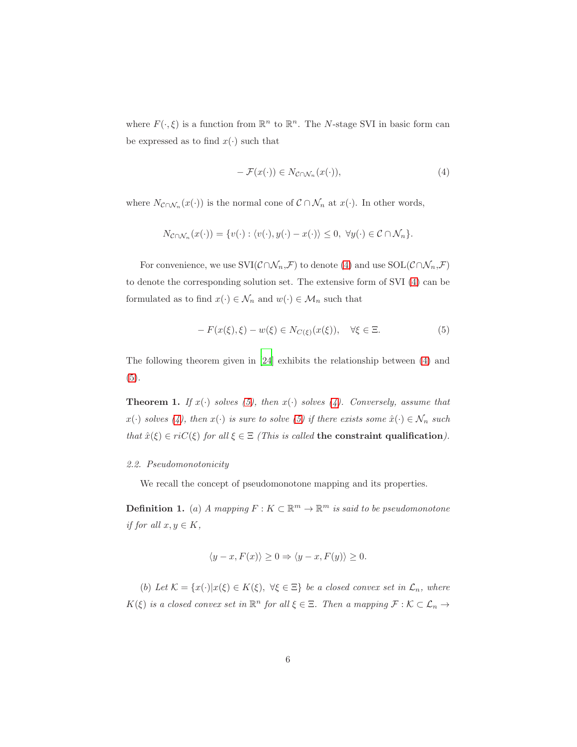where  $F(\cdot, \xi)$  is a function from  $\mathbb{R}^n$  to  $\mathbb{R}^n$ . The N-stage SVI in basic form can be expressed as to find  $x(\cdot)$  such that

<span id="page-5-0"></span>
$$
- \mathcal{F}(x(\cdot)) \in N_{\mathcal{C} \cap \mathcal{N}_n}(x(\cdot)), \tag{4}
$$

where  $N_{\mathcal{C}\cap\mathcal{N}_n}(x(\cdot))$  is the normal cone of  $\mathcal{C}\cap\mathcal{N}_n$  at  $x(\cdot)$ . In other words,

$$
N_{\mathcal{C}\cap\mathcal{N}_n}(x(\cdot)) = \{v(\cdot): \langle v(\cdot), y(\cdot) - x(\cdot)\rangle \leq 0, \ \forall y(\cdot) \in \mathcal{C}\cap\mathcal{N}_n\}.
$$

For convenience, we use  $\mathrm{SVI}(\mathcal{C}\cap \mathcal{N}_n,\mathcal{F})$  to denote [\(4\)](#page-5-0) and use  $\mathrm{SOL}(\mathcal{C}\cap \mathcal{N}_n,\mathcal{F})$ to denote the corresponding solution set. The extensive form of SVI [\(4\)](#page-5-0) can be formulated as to find  $x(\cdot) \in \mathcal{N}_n$  and  $w(\cdot) \in \mathcal{M}_n$  such that

<span id="page-5-1"></span>
$$
-F(x(\xi),\xi) - w(\xi) \in N_{C(\xi)}(x(\xi)), \quad \forall \xi \in \Xi.
$$
 (5)

The following theorem given in [\[24](#page-37-0)] exhibits the relationship between [\(4\)](#page-5-0) and [\(5\)](#page-5-1).

**Theorem 1.** If  $x(\cdot)$  solves [\(5\)](#page-5-1), then  $x(\cdot)$  solves [\(4\)](#page-5-0). Conversely, assume that  $x(\cdot)$  solves [\(4\)](#page-5-0), then  $x(\cdot)$  is sure to solve [\(5\)](#page-5-1) if there exists some  $\hat{x}(\cdot) \in \mathcal{N}_n$  such that  $\hat{x}(\xi) \in riC(\xi)$  for all  $\xi \in \Xi$  (This is called the constraint qualification).

## 2.2. Pseudomonotonicity

We recall the concept of pseudomonotone mapping and its properties.

**Definition 1.** (a) A mapping  $F: K \subset \mathbb{R}^m \to \mathbb{R}^m$  is said to be pseudomonotone if for all  $x, y \in K$ ,

$$
\langle y - x, F(x) \rangle \ge 0 \Rightarrow \langle y - x, F(y) \rangle \ge 0.
$$

(b) Let  $\mathcal{K} = \{x(\cdot)|x(\xi) \in K(\xi), \ \forall \xi \in \Xi\}$  be a closed convex set in  $\mathcal{L}_n$ , where  $K(\xi)$  is a closed convex set in  $\mathbb{R}^n$  for all  $\xi \in \Xi$ . Then a mapping  $\mathcal{F} : \mathcal{K} \subset \mathcal{L}_n \to$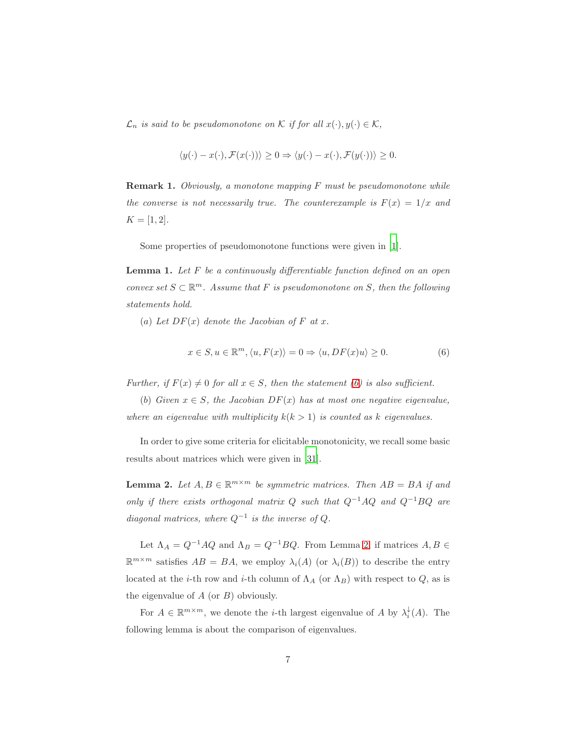$\mathcal{L}_n$  is said to be pseudomonotone on K if for all  $x(\cdot), y(\cdot) \in \mathcal{K}$ ,

<span id="page-6-3"></span>
$$
\langle y(\cdot) - x(\cdot), \mathcal{F}(x(\cdot)) \rangle \ge 0 \Rightarrow \langle y(\cdot) - x(\cdot), \mathcal{F}(y(\cdot)) \rangle \ge 0.
$$

<span id="page-6-2"></span>Remark 1. Obviously, a monotone mapping F must be pseudomonotone while the converse is not necessarily true. The counterexample is  $F(x) = 1/x$  and  $K = [1, 2].$ 

Some properties of pseudomonotone functions were given in [\[1\]](#page-34-2).

**Lemma 1.** Let  $F$  be a continuously differentiable function defined on an open convex set  $S \subset \mathbb{R}^m$ . Assume that F is pseudomonotone on S, then the following statements hold.

(a) Let  $DF(x)$  denote the Jacobian of F at x.

<span id="page-6-0"></span>
$$
x \in S, u \in \mathbb{R}^m, \langle u, F(x) \rangle = 0 \Rightarrow \langle u, DF(x)u \rangle \ge 0.
$$
 (6)

Further, if  $F(x) \neq 0$  for all  $x \in S$ , then the statement [\(6\)](#page-6-0) is also sufficient.

(b) Given  $x \in S$ , the Jacobian  $DF(x)$  has at most one negative eigenvalue, where an eigenvalue with multiplicity  $k(k > 1)$  is counted as k eigenvalues.

<span id="page-6-1"></span>In order to give some criteria for elicitable monotonicity, we recall some basic results about matrices which were given in [\[31\]](#page-37-5).

**Lemma 2.** Let  $A, B \in \mathbb{R}^{m \times m}$  be symmetric matrices. Then  $AB = BA$  if and only if there exists orthogonal matrix  $Q$  such that  $Q^{-1}AQ$  and  $Q^{-1}BQ$  are diagonal matrices, where  $Q^{-1}$  is the inverse of  $Q$ .

Let  $\Lambda_A = Q^{-1}AQ$  and  $\Lambda_B = Q^{-1}BQ$ . From Lemma [2,](#page-6-1) if matrices  $A, B \in$  $\mathbb{R}^{m \times m}$  satisfies  $AB = BA$ , we employ  $\lambda_i(A)$  (or  $\lambda_i(B)$ ) to describe the entry located at the *i*-th row and *i*-th column of  $\Lambda_A$  (or  $\Lambda_B$ ) with respect to  $Q$ , as is the eigenvalue of  $A$  (or  $B$ ) obviously.

<span id="page-6-4"></span>For  $A \in \mathbb{R}^{m \times m}$ , we denote the *i*-th largest eigenvalue of A by  $\lambda_i^{\downarrow}(A)$ . The following lemma is about the comparison of eigenvalues.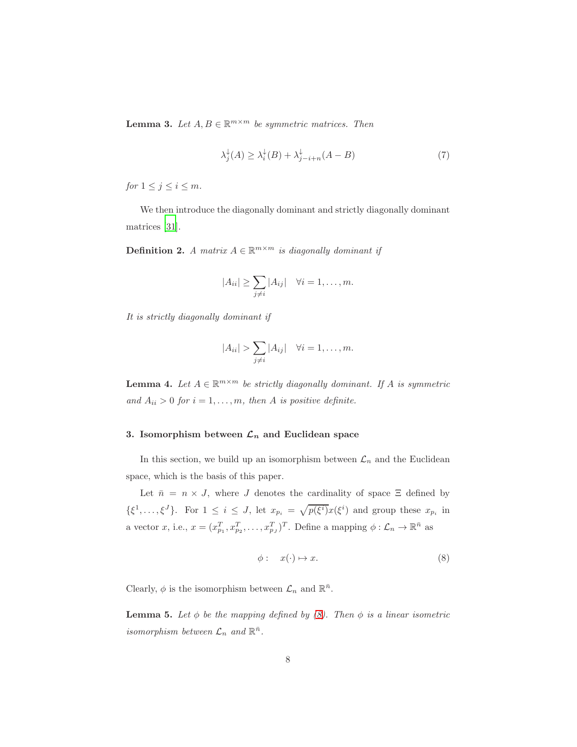**Lemma 3.** Let  $A, B \in \mathbb{R}^{m \times m}$  be symmetric matrices. Then

$$
\lambda_j^{\downarrow}(A) \ge \lambda_i^{\downarrow}(B) + \lambda_{j-i+n}^{\downarrow}(A - B) \tag{7}
$$

for  $1 \leq j \leq i \leq m$ .

We then introduce the diagonally dominant and strictly diagonally dominant matrices [\[31\]](#page-37-5).

**Definition 2.** A matrix  $A \in \mathbb{R}^{m \times m}$  is diagonally dominant if

$$
|A_{ii}| \geq \sum_{j \neq i} |A_{ij}| \quad \forall i = 1, \dots, m.
$$

It is strictly diagonally dominant if

$$
|A_{ii}| > \sum_{j \neq i} |A_{ij}| \quad \forall i = 1, \dots, m.
$$

<span id="page-7-3"></span>**Lemma 4.** Let  $A \in \mathbb{R}^{m \times m}$  be strictly diagonally dominant. If A is symmetric and  $A_{ii} > 0$  for  $i = 1, ..., m$ , then A is positive definite.

# <span id="page-7-0"></span>3. Isomorphism between  $\mathcal{L}_n$  and Euclidean space

In this section, we build up an isomorphism between  $\mathcal{L}_n$  and the Euclidean space, which is the basis of this paper.

Let  $\bar{n} = n \times J$ , where J denotes the cardinality of space  $\Xi$  defined by  $\{\xi^1,\ldots,\xi^J\}$ . For  $1 \leq i \leq J$ , let  $x_{p_i} = \sqrt{p(\xi^i)}x(\xi^i)$  and group these  $x_{p_i}$  in a vector x, i.e.,  $x = (x_{p_1}^T, x_{p_2}^T, \dots, x_{p_J}^T)^T$ . Define a mapping  $\phi : \mathcal{L}_n \to \mathbb{R}^{\bar{n}}$  as

<span id="page-7-1"></span>
$$
\phi: x(\cdot) \mapsto x. \tag{8}
$$

<span id="page-7-2"></span>Clearly,  $\phi$  is the isomorphism between  $\mathcal{L}_n$  and  $\mathbb{R}^{\bar{n}}$ .

**Lemma 5.** Let  $\phi$  be the mapping defined by [\(8\)](#page-7-1). Then  $\phi$  is a linear isometric isomorphism between  $\mathcal{L}_n$  and  $\mathbb{R}^{\bar{n}}$ .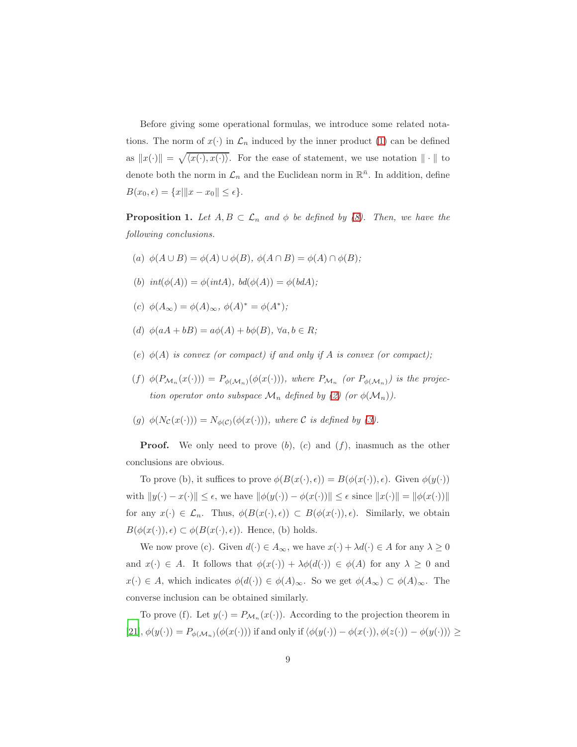Before giving some operational formulas, we introduce some related notations. The norm of  $x(\cdot)$  in  $\mathcal{L}_n$  induced by the inner product [\(1\)](#page-4-0) can be defined as  $||x(\cdot)|| = \sqrt{\langle x(\cdot), x(\cdot) \rangle}$ . For the ease of statement, we use notation  $|| \cdot ||$  to denote both the norm in  $\mathcal{L}_n$  and the Euclidean norm in  $\mathbb{R}^{\bar{n}}$ . In addition, define  $B(x_0, \epsilon) = \{x | ||x - x_0|| \leq \epsilon\}.$ 

<span id="page-8-0"></span>**Proposition 1.** Let  $A, B \subset \mathcal{L}_n$  and  $\phi$  be defined by [\(8\)](#page-7-1). Then, we have the following conclusions.

- (a)  $\phi(A \cup B) = \phi(A) \cup \phi(B)$ ,  $\phi(A \cap B) = \phi(A) \cap \phi(B)$ ;
- (b)  $int(\phi(A)) = \phi(intA), bd(\phi(A)) = \phi(bdA);$
- (c)  $\phi(A_{\infty}) = \phi(A)_{\infty}, \ \phi(A)^* = \phi(A^*);$
- (d)  $\phi(aA + bB) = a\phi(A) + b\phi(B)$ ,  $\forall a, b \in R$ ;
- (e)  $\phi(A)$  is convex (or compact) if and only if A is convex (or compact);
- (f)  $\phi(P_{\mathcal{M}_n}(x(\cdot))) = P_{\phi(\mathcal{M}_n)}(\phi(x(\cdot))),$  where  $P_{\mathcal{M}_n}$  (or  $P_{\phi(\mathcal{M}_n)}$ ) is the projection operator onto subspace  $\mathcal{M}_n$  defined by [\(2\)](#page-4-1) (or  $\phi(\mathcal{M}_n)$ ).
- (g)  $\phi(N_{\mathcal{C}}(x(\cdot))) = N_{\phi(\mathcal{C})}(\phi(x(\cdot))),$  where C is defined by [\(3\)](#page-4-2).

**Proof.** We only need to prove  $(b)$ ,  $(c)$  and  $(f)$ , inasmuch as the other conclusions are obvious.

To prove (b), it suffices to prove  $\phi(B(x(\cdot), \epsilon)) = B(\phi(x(\cdot)), \epsilon)$ . Given  $\phi(y(\cdot))$ with  $||y(\cdot) - x(\cdot)|| \le \epsilon$ , we have  $||\phi(y(\cdot)) - \phi(x(\cdot))|| \le \epsilon$  since  $||x(\cdot)|| = ||\phi(x(\cdot))||$ for any  $x(\cdot) \in \mathcal{L}_n$ . Thus,  $\phi(B(x(\cdot), \epsilon)) \subset B(\phi(x(\cdot)), \epsilon)$ . Similarly, we obtain  $B(\phi(x(\cdot)), \epsilon) \subset \phi(B(x(\cdot), \epsilon))$ . Hence, (b) holds.

We now prove (c). Given  $d(\cdot) \in A_{\infty}$ , we have  $x(\cdot) + \lambda d(\cdot) \in A$  for any  $\lambda \geq 0$ and  $x(\cdot) \in A$ . It follows that  $\phi(x(\cdot)) + \lambda \phi(d(\cdot)) \in \phi(A)$  for any  $\lambda \geq 0$  and  $x(\cdot) \in A$ , which indicates  $\phi(d(\cdot)) \in \phi(A)_{\infty}$ . So we get  $\phi(A_{\infty}) \subset \phi(A)_{\infty}$ . The converse inclusion can be obtained similarly.

To prove (f). Let  $y(\cdot) = P_{\mathcal{M}_n}(x(\cdot))$ . According to the projection theorem in  $[21], \phi(y(\cdot)) = P_{\phi(\mathcal{M}_n)}(\phi(x(\cdot)))$  $[21], \phi(y(\cdot)) = P_{\phi(\mathcal{M}_n)}(\phi(x(\cdot)))$  if and only if  $\langle \phi(y(\cdot)) - \phi(x(\cdot)), \phi(z(\cdot)) - \phi(y(\cdot)) \rangle \ge$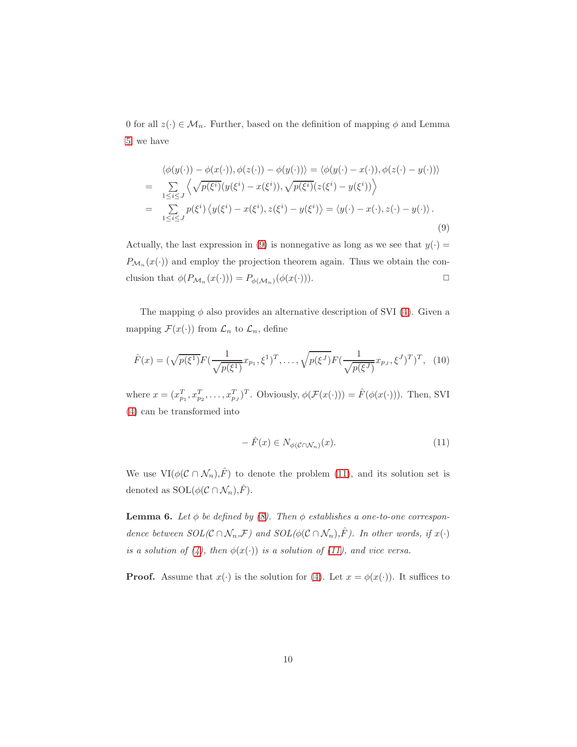0 for all  $z(\cdot) \in \mathcal{M}_n$ . Further, based on the definition of mapping  $\phi$  and Lemma [5,](#page-7-2) we have

<span id="page-9-0"></span>
$$
\langle \phi(y(\cdot)) - \phi(x(\cdot)), \phi(z(\cdot)) - \phi(y(\cdot)) \rangle = \langle \phi(y(\cdot) - x(\cdot)), \phi(z(\cdot) - y(\cdot)) \rangle
$$
  
\n
$$
= \sum_{1 \leq i \leq J} \langle \sqrt{p(\xi^i)} (y(\xi^i) - x(\xi^i)), \sqrt{p(\xi^i)} (z(\xi^i) - y(\xi^i)) \rangle
$$
  
\n
$$
= \sum_{1 \leq i \leq J} p(\xi^i) \langle y(\xi^i) - x(\xi^i), z(\xi^i) - y(\xi^i) \rangle = \langle y(\cdot) - x(\cdot), z(\cdot) - y(\cdot) \rangle.
$$
\n(9)

Actually, the last expression in [\(9\)](#page-9-0) is nonnegative as long as we see that  $y(\cdot) =$  $P_{\mathcal{M}_n}(x(\cdot))$  and employ the projection theorem again. Thus we obtain the conclusion that  $\phi(P_{\mathcal{M}_n}(x(\cdot))) = P_{\phi(\mathcal{M}_n)}(\phi(x(\cdot))).$ 

The mapping  $\phi$  also provides an alternative description of SVI [\(4\)](#page-5-0). Given a mapping  $\mathcal{F}(x(\cdot))$  from  $\mathcal{L}_n$  to  $\mathcal{L}_n$ , define

<span id="page-9-3"></span>
$$
\hat{F}(x) = (\sqrt{p(\xi^1)}F(\frac{1}{\sqrt{p(\xi^1)}}x_{p_1}, \xi^1)^T, \dots, \sqrt{p(\xi^J)}F(\frac{1}{\sqrt{p(\xi^J)}}x_{p_J}, \xi^J)^T)^T, (10)
$$

where  $x = (x_{p_1}^T, x_{p_2}^T, \dots, x_{p_J}^T)^T$ . Obviously,  $\phi(\mathcal{F}(x(\cdot))) = \hat{F}(\phi(x(\cdot)))$ . Then, SVI [\(4\)](#page-5-0) can be transformed into

<span id="page-9-1"></span>
$$
- \hat{F}(x) \in N_{\phi(\mathcal{C} \cap \mathcal{N}_n)}(x). \tag{11}
$$

<span id="page-9-2"></span>We use  $VI(\phi(\mathcal{C} \cap \mathcal{N}_n), \hat{F})$  to denote the problem [\(11\)](#page-9-1), and its solution set is denoted as  $\text{SOL}(\phi(\mathcal{C} \cap \mathcal{N}_n), \hat{F})$ .

**Lemma 6.** Let  $\phi$  be defined by [\(8\)](#page-7-1). Then  $\phi$  establishes a one-to-one correspondence between  $SOL(\mathcal{C} \cap \mathcal{N}_n,\mathcal{F})$  and  $SOL(\phi(\mathcal{C} \cap \mathcal{N}_n),\hat{F})$ . In other words, if  $x(\cdot)$ is a solution of [\(4\)](#page-5-0), then  $\phi(x(\cdot))$  is a solution of [\(11\)](#page-9-1), and vice versa.

**Proof.** Assume that  $x(\cdot)$  is the solution for [\(4\)](#page-5-0). Let  $x = \phi(x(\cdot))$ . It suffices to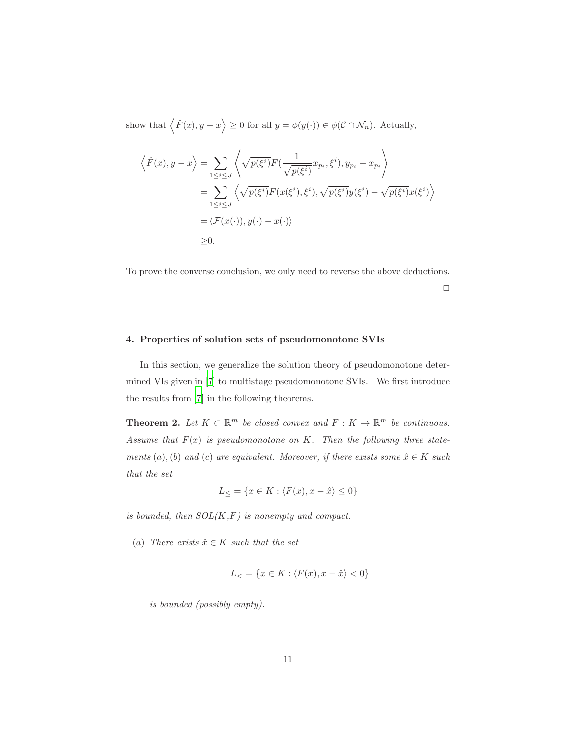show that  $\langle \hat{F}(x), y - x \rangle \ge 0$  for all  $y = \phi(y(\cdot)) \in \phi(\mathcal{C} \cap \mathcal{N}_n)$ . Actually,

$$
\langle \hat{F}(x), y - x \rangle = \sum_{1 \le i \le J} \langle \sqrt{p(\xi^i)} F(\frac{1}{\sqrt{p(\xi^i)}} x_{p_i}, \xi^i), y_{p_i} - x_{p_i} \rangle
$$
  
= 
$$
\sum_{1 \le i \le J} \langle \sqrt{p(\xi^i)} F(x(\xi^i), \xi^i), \sqrt{p(\xi^i)} y(\xi^i) - \sqrt{p(\xi^i)} x(\xi^i) \rangle
$$
  
=  $\langle \mathcal{F}(x(\cdot)), y(\cdot) - x(\cdot) \rangle$   
\ge 0.

To prove the converse conclusion, we only need to reverse the above deductions.

 $\Box$ 

# <span id="page-10-0"></span>4. Properties of solution sets of pseudomonotone SVIs

In this section, we generalize the solution theory of pseudomonotone determined VIs given in [\[7](#page-35-7)] to multistage pseudomonotone SVIs. We first introduce the results from [\[7\]](#page-35-7) in the following theorems.

**Theorem 2.** Let  $K \subset \mathbb{R}^m$  be closed convex and  $F: K \to \mathbb{R}^m$  be continuous. Assume that  $F(x)$  is pseudomonotone on K. Then the following three statements (a), (b) and (c) are equivalent. Moreover, if there exists some  $\hat{x} \in K$  such that the set

<span id="page-10-1"></span>
$$
L_{\leq} = \{ x \in K : \langle F(x), x - \hat{x} \rangle \leq 0 \}
$$

is bounded, then  $SOL(K, F)$  is nonempty and compact.

(a) There exists  $\hat{x} \in K$  such that the set

$$
L_{<} = \{x \in K : \langle F(x), x - \hat{x} \rangle < 0\}
$$

is bounded (possibly empty).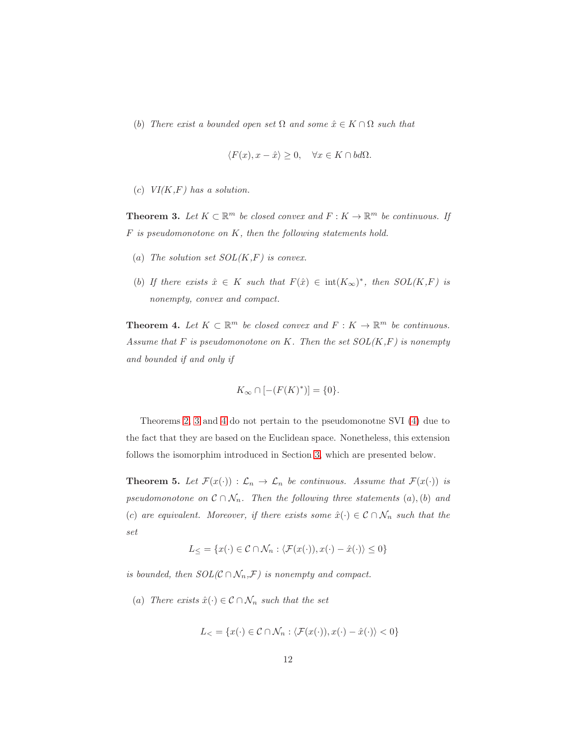(b) There exist a bounded open set  $\Omega$  and some  $\hat{x} \in K \cap \Omega$  such that

$$
\langle F(x), x - \hat{x} \rangle \ge 0, \quad \forall x \in K \cap bd\Omega.
$$

<span id="page-11-0"></span>(c)  $VI(K,F)$  has a solution.

**Theorem 3.** Let  $K \subset \mathbb{R}^m$  be closed convex and  $F: K \to \mathbb{R}^m$  be continuous. If  $F$  is pseudomonotone on  $K$ , then the following statements hold.

- (a) The solution set  $SOL(K,F)$  is convex.
- (b) If there exists  $\hat{x} \in K$  such that  $F(\hat{x}) \in \text{int}(K_{\infty})^*$ , then  $SOL(K,F)$  is nonempty, convex and compact.

<span id="page-11-1"></span>**Theorem 4.** Let  $K \subset \mathbb{R}^m$  be closed convex and  $F: K \to \mathbb{R}^m$  be continuous. Assume that  $F$  is pseudomonotone on  $K$ . Then the set  $SOL(K,F)$  is nonempty and bounded if and only if

$$
K_\infty\cap[-(F(K)^*)]=\{0\}.
$$

Theorems [2,](#page-10-1) [3](#page-11-0) and [4](#page-11-1) do not pertain to the pseudomonotne SVI [\(4\)](#page-5-0) due to the fact that they are based on the Euclidean space. Nonetheless, this extension follows the isomorphim introduced in Section [3,](#page-7-0) which are presented below.

**Theorem 5.** Let  $\mathcal{F}(x(\cdot))$  :  $\mathcal{L}_n \to \mathcal{L}_n$  be continuous. Assume that  $\mathcal{F}(x(\cdot))$  is pseudomonotone on  $\mathcal{C} \cap \mathcal{N}_n$ . Then the following three statements (a), (b) and (c) are equivalent. Moreover, if there exists some  $\hat{x}(\cdot) \in \mathcal{C} \cap \mathcal{N}_n$  such that the set

$$
L_{\leq} = \{x(\cdot) \in \mathcal{C} \cap \mathcal{N}_n : \langle \mathcal{F}(x(\cdot)), x(\cdot) - \hat{x}(\cdot) \rangle \leq 0\}
$$

is bounded, then  $SOL(\mathcal{C}\cap\mathcal{N}_n,\mathcal{F})$  is nonempty and compact.

(a) There exists  $\hat{x}(\cdot) \in \mathcal{C} \cap \mathcal{N}_n$  such that the set

$$
L_{<} = \{x(\cdot) \in \mathcal{C} \cap \mathcal{N}_n : \langle \mathcal{F}(x(\cdot)), x(\cdot) - \hat{x}(\cdot) \rangle < 0\}
$$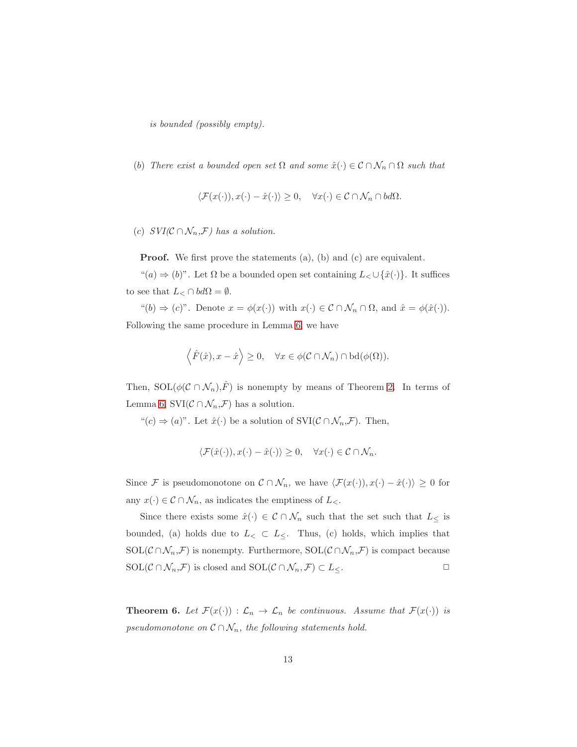is bounded (possibly empty).

(b) There exist a bounded open set  $\Omega$  and some  $\hat{x}(\cdot) \in \mathcal{C} \cap \mathcal{N}_n \cap \Omega$  such that

$$
\langle \mathcal{F}(x(\cdot)), x(\cdot) - \hat{x}(\cdot) \rangle \ge 0, \quad \forall x(\cdot) \in \mathcal{C} \cap \mathcal{N}_n \cap bd\Omega.
$$

(c)  $SVI(\mathcal{C} \cap \mathcal{N}_n, \mathcal{F})$  has a solution.

**Proof.** We first prove the statements (a), (b) and (c) are equivalent.

 $((a) \Rightarrow (b)$ ". Let  $\Omega$  be a bounded open set containing  $L_{<} \cup \{\hat{x}(\cdot)\}\$ . It suffices to see that  $L_{\leq} \cap bd\Omega = \emptyset$ .

"(b)  $\Rightarrow$  (c)". Denote  $x = \phi(x(\cdot))$  with  $x(\cdot) \in \mathcal{C} \cap \mathcal{N}_n \cap \Omega$ , and  $\hat{x} = \phi(\hat{x}(\cdot))$ . Following the same procedure in Lemma [6,](#page-9-2) we have

$$
\langle \hat{F}(\hat{x}), x - \hat{x} \rangle \ge 0, \quad \forall x \in \phi(\mathcal{C} \cap \mathcal{N}_n) \cap \text{bd}(\phi(\Omega)).
$$

Then,  $SOL(\phi(\mathcal{C}\cap\mathcal{N}_n),\hat{F})$  is nonempty by means of Theorem [2.](#page-10-1) In terms of Lemma [6,](#page-9-2)  $\text{SVI}(\mathcal{C} \cap \mathcal{N}_n, \mathcal{F})$  has a solution.

" $(c) \Rightarrow (a)$ ". Let  $\hat{x}(\cdot)$  be a solution of SVI $(C \cap \mathcal{N}_n, \mathcal{F})$ . Then,

$$
\langle \mathcal{F}(\hat{x}(\cdot)), x(\cdot) - \hat{x}(\cdot) \rangle \ge 0, \quad \forall x(\cdot) \in \mathcal{C} \cap \mathcal{N}_n.
$$

Since F is pseudomonotone on  $\mathcal{C} \cap \mathcal{N}_n$ , we have  $\langle \mathcal{F}(x(\cdot)), x(\cdot) - \hat{x}(\cdot) \rangle \geq 0$  for any  $x(\cdot) \in \mathcal{C} \cap \mathcal{N}_n$ , as indicates the emptiness of  $L_{\leq \cdot}$ .

Since there exists some  $\hat{x}(\cdot) \in \mathcal{C} \cap \mathcal{N}_n$  such that the set such that  $L_{\leq}$  is bounded, (a) holds due to  $L$ <sub><</sub>  $\subset$   $L$ <sub> $\leq$ </sub>. Thus, (c) holds, which implies that SOL( $\mathcal{C} \cap \mathcal{N}_n, \mathcal{F}$ ) is nonempty. Furthermore, SOL( $\mathcal{C} \cap \mathcal{N}_n, \mathcal{F}$ ) is compact because  $SOL(\mathcal{C}\cap\mathcal{N}_n,\mathcal{F})$  is closed and  $SOL(\mathcal{C}\cap\mathcal{N}_n,\mathcal{F})\subset L_{\leq}$ .

**Theorem 6.** Let  $\mathcal{F}(x(\cdot)) : \mathcal{L}_n \to \mathcal{L}_n$  be continuous. Assume that  $\mathcal{F}(x(\cdot))$  is pseudomonotone on  $\mathcal{C} \cap \mathcal{N}_n$ , the following statements hold.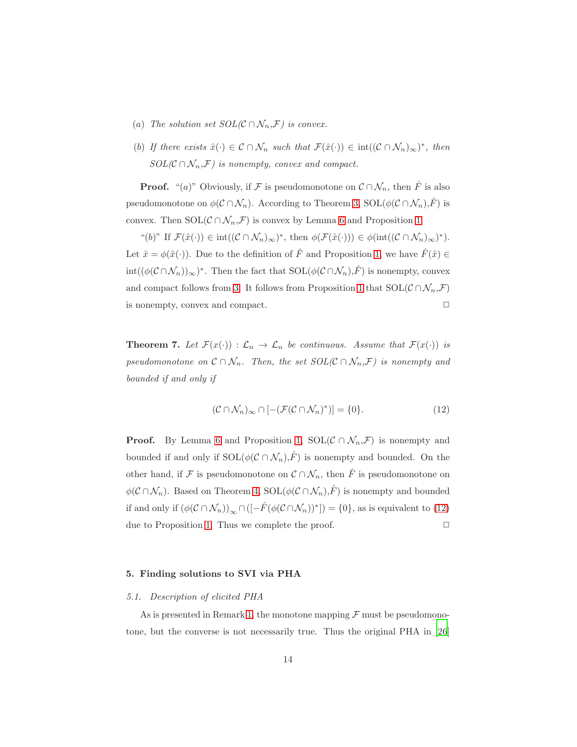- (a) The solution set  $SOL(\mathcal{C}\cap\mathcal{N}_n,\mathcal{F})$  is convex.
- (b) If there exists  $\hat{x}(\cdot) \in \mathcal{C} \cap \mathcal{N}_n$  such that  $\mathcal{F}(\hat{x}(\cdot)) \in \text{int}((\mathcal{C} \cap \mathcal{N}_n)_{\infty})^*$ , then  $SOL(\mathcal{C}\cap\mathcal{N}_n,\mathcal{F})$  is nonempty, convex and compact.

**Proof.** "(a)" Obviously, if F is pseudomonotone on  $\mathcal{C} \cap \mathcal{N}_n$ , then  $\hat{F}$  is also pseudomonotone on  $\phi(\mathcal{C} \cap \mathcal{N}_n)$ . According to Theorem [3,](#page-11-0) SOL $(\phi(\mathcal{C} \cap \mathcal{N}_n),\hat{F})$  is convex. Then  $SOL(\mathcal{C} \cap \mathcal{N}_n, \mathcal{F})$  is convex by Lemma [6](#page-9-2) and Proposition [1.](#page-8-0)

"(b)" If  $\mathcal{F}(\hat{x}(\cdot)) \in \text{int}((\mathcal{C} \cap \mathcal{N}_n)_{\infty})^*$ , then  $\phi(\mathcal{F}(\hat{x}(\cdot))) \in \phi(\text{int}((\mathcal{C} \cap \mathcal{N}_n)_{\infty})^*)$ . Let  $\hat{x} = \phi(\hat{x}(\cdot))$ . Due to the definition of  $\hat{F}$  and Proposition [1,](#page-8-0) we have  $\hat{F}(\hat{x}) \in$  $\text{int}((\phi(\mathcal{C}\cap\mathcal{N}_n))_{\infty})^*$ . Then the fact that  $\text{SOL}(\phi(\mathcal{C}\cap\mathcal{N}_n),\hat{F})$  is nonempty, convex and compact follows from [3.](#page-11-0) It follows from Proposition [1](#page-8-0) that  $SOL(\mathcal{C} \cap \mathcal{N}_n, \mathcal{F})$ is nonempty, convex and compact.  $\Box$ 

**Theorem 7.** Let  $\mathcal{F}(x(\cdot)) : \mathcal{L}_n \to \mathcal{L}_n$  be continuous. Assume that  $\mathcal{F}(x(\cdot))$  is pseudomonotone on  $\mathcal{C} \cap \mathcal{N}_n$ . Then, the set  $SOL(\mathcal{C} \cap \mathcal{N}_n, \mathcal{F})$  is nonempty and bounded if and only if

<span id="page-13-1"></span>
$$
(\mathcal{C} \cap \mathcal{N}_n)_{\infty} \cap [-(\mathcal{F}(\mathcal{C} \cap \mathcal{N}_n)^*)] = \{0\}.
$$
 (12)

**Proof.** By Lemma [6](#page-9-2) and Proposition [1,](#page-8-0) SOL( $\mathcal{C} \cap \mathcal{N}_n$ , $\mathcal{F}$ ) is nonempty and bounded if and only if  $\mathrm{SOL}(\phi(\mathcal{C} \cap \mathcal{N}_n),\hat{F})$  is nonempty and bounded. On the other hand, if F is pseudomonotone on  $\mathcal{C} \cap \mathcal{N}_n$ , then  $\hat{F}$  is pseudomonotone on  $\phi(\mathcal{C}\cap\mathcal{N}_n)$ . Based on Theorem [4,](#page-11-1) SOL $(\phi(\mathcal{C}\cap\mathcal{N}_n),\hat{F})$  is nonempty and bounded if and only if  $(\phi(\mathcal{C} \cap \mathcal{N}_n))_{\infty} \cap \left( [-\hat{F}(\phi(\mathcal{C} \cap \mathcal{N}_n))^* \right) = \{0\}$ , as is equivalent to [\(12\)](#page-13-1) due to Proposition [1.](#page-8-0) Thus we complete the proof.  $\Box$ 

# <span id="page-13-0"></span>5. Finding solutions to SVI via PHA

#### 5.1. Description of elicited PHA

As is presented in Remark [1,](#page-6-2) the monotone mapping  $\mathcal F$  must be pseudomonotone, but the converse is not necessarily true. Thus the original PHA in [\[26\]](#page-37-1)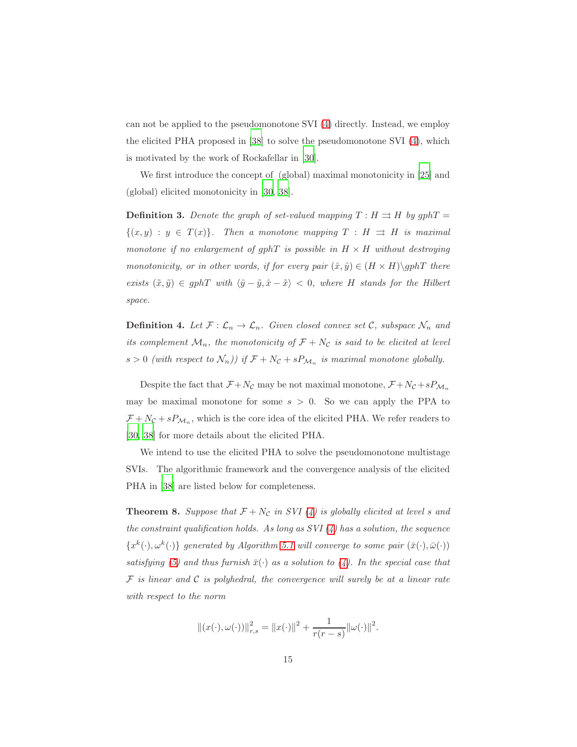can not be applied to the pseudomonotone SVI [\(4\)](#page-5-0) directly. Instead, we employ the elicited PHA proposed in [\[38](#page-38-5)] to solve the pseudomonotone SVI [\(4\)](#page-5-0), which is motivated by the work of Rockafellar in [\[30](#page-37-6)].

We first introduce the concept of (global) maximal monotonicity in [\[25\]](#page-37-7) and (global) elicited monotonicity in [\[30,](#page-37-6) [38\]](#page-38-5).

**Definition 3.** Denote the graph of set-valued mapping  $T : H \rightrightarrows H$  by  $gphT =$  $\{(x,y) : y \in T(x)\}.$  Then a monotone mapping  $T : H \rightrightarrows H$  is maximal monotone if no enlargement of gphT is possible in  $H \times H$  without destroying monotonicity, or in other words, if for every pair  $(\hat{x}, \hat{y}) \in (H \times H) \setminus gphT$  there exists  $(\tilde{x}, \tilde{y}) \in gphT$  with  $\langle \hat{y} - \tilde{y}, \hat{x} - \tilde{x} \rangle < 0$ , where H stands for the Hilbert space.

<span id="page-14-0"></span>**Definition 4.** Let  $\mathcal{F} : \mathcal{L}_n \to \mathcal{L}_n$ . Given closed convex set C, subspace  $\mathcal{N}_n$  and its complement  $\mathcal{M}_n$ , the monotonicity of  $\mathcal{F} + N_{\mathcal{C}}$  is said to be elicited at level  $s > 0$  (with respect to  $\mathcal{N}_n$ )) if  $\mathcal{F} + N_{\mathcal{C}} + sP_{\mathcal{M}_n}$  is maximal monotone globally.

Despite the fact that  $\mathcal{F} + N_{\mathcal{C}}$  may be not maximal monotone,  $\mathcal{F} + N_{\mathcal{C}} + sP_{\mathcal{M}_n}$ may be maximal monotone for some  $s > 0$ . So we can apply the PPA to  $\mathcal{F} + N_{\mathcal{C}} + s P_{\mathcal{M}_n}$ , which is the core idea of the elicited PHA. We refer readers to [\[30,](#page-37-6) [38\]](#page-38-5) for more details about the elicited PHA.

We intend to use the elicited PHA to solve the pseudomonotone multistage SVIs. The algorithmic framework and the convergence analysis of the elicited PHA in [\[38](#page-38-5)] are listed below for completeness.

**Theorem 8.** Suppose that  $\mathcal{F} + N_{\mathcal{C}}$  in SVI [\(4\)](#page-5-0) is globally elicited at level s and the constraint qualification holds. As long as  $SVI(4)$  has a solution, the sequence  ${x^k(\cdot), \omega^k(\cdot)}$  generated by Algorithm [5.1](#page-14-0) will converge to some pair  $(\bar{x}(\cdot), \bar{\omega}(\cdot))$ satisfying [\(5\)](#page-5-1) and thus furnish  $\bar{x}(\cdot)$  as a solution to [\(4\)](#page-5-0). In the special case that  $\mathcal F$  is linear and  $\mathcal C$  is polyhedral, the convergence will surely be at a linear rate with respect to the norm

$$
||(x(\cdot), \omega(\cdot))||_{r,s}^2 = ||x(\cdot)||^2 + \frac{1}{r(r-s)} ||\omega(\cdot)||^2.
$$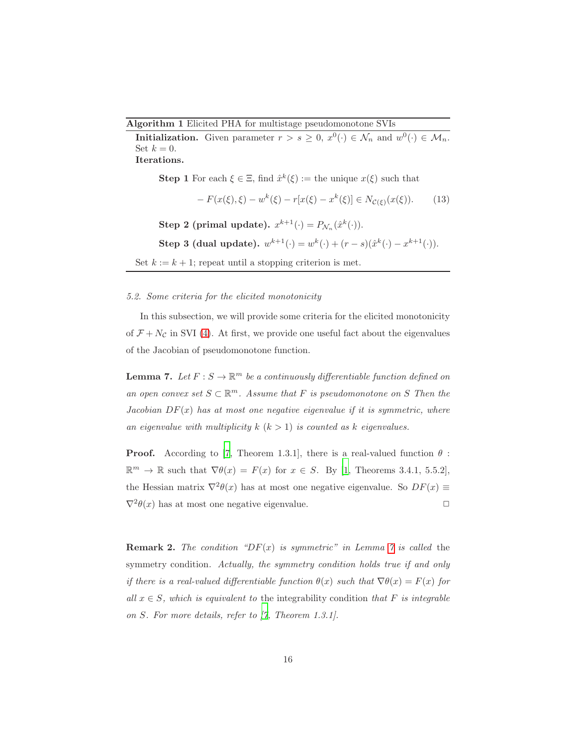Algorithm 1 Elicited PHA for multistage pseudomonotone SVIs

**Initialization.** Given parameter  $r > s \geq 0$ ,  $x^0(\cdot) \in \mathcal{N}_n$  and  $w^0(\cdot) \in \mathcal{M}_n$ . Set  $k = 0$ . Iterations.

**Step 1** For each  $\xi \in \Xi$ , find  $\hat{x}^k(\xi) :=$  the unique  $x(\xi)$  such that

<span id="page-15-1"></span>
$$
-F(x(\xi), \xi) - w^{k}(\xi) - r[x(\xi) - x^{k}(\xi)] \in N_{\mathcal{C}(\xi)}(x(\xi)). \tag{13}
$$

Step 2 (primal update).  $x^{k+1}(\cdot) = P_{\mathcal{N}_n}(\hat{x}^k(\cdot)).$ 

Step 3 (dual update).  $w^{k+1}(\cdot) = w^k(\cdot) + (r - s)(\hat{x}^k(\cdot) - x^{k+1}(\cdot)).$ 

Set  $k := k + 1$ ; repeat until a stopping criterion is met.

#### 5.2. Some criteria for the elicited monotonicity

<span id="page-15-0"></span>In this subsection, we will provide some criteria for the elicited monotonicity of  $\mathcal{F} + N_{\mathcal{C}}$  in SVI [\(4\)](#page-5-0). At first, we provide one useful fact about the eigenvalues of the Jacobian of pseudomonotone function.

**Lemma 7.** Let  $F: S \to \mathbb{R}^m$  be a continuously differentiable function defined on an open convex set  $S \subset \mathbb{R}^m$ . Assume that F is pseudomonotone on S Then the Jacobian  $DF(x)$  has at most one negative eigenvalue if it is symmetric, where an eigenvalue with multiplicity  $k$   $(k > 1)$  is counted as k eigenvalues.

**Proof.** According to [\[7](#page-35-7), Theorem 1.3.1], there is a real-valued function  $\theta$ :  $\mathbb{R}^m \to \mathbb{R}$  such that  $\nabla \theta(x) = F(x)$  for  $x \in S$ . By [\[1,](#page-34-2) Theorems 3.4.1, 5.5.2], the Hessian matrix  $\nabla^2 \theta(x)$  has at most one negative eigenvalue. So  $DF(x) \equiv$  $\nabla^2 \theta(x)$  has at most one negative eigenvalue.

**Remark 2.** The condition "DF(x) is symmetric" in Lemma [7](#page-15-0) is called the symmetry condition. Actually, the symmetry condition holds true if and only if there is a real-valued differentiable function  $\theta(x)$  such that  $\nabla \theta(x) = F(x)$  for all  $x \in S$ , which is equivalent to the integrability condition that F is integrable on S. For more details, refer to [\[7](#page-35-7), Theorem 1.3.1].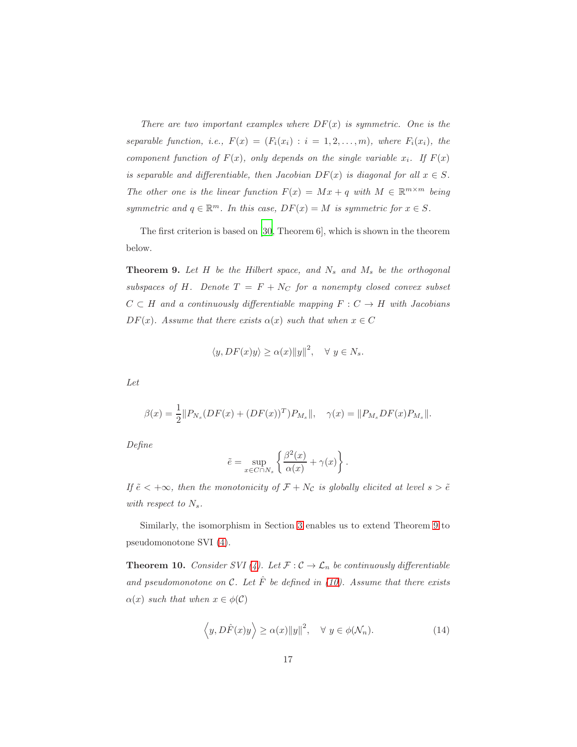There are two important examples where  $DF(x)$  is symmetric. One is the separable function, i.e.,  $F(x) = (F_i(x_i) : i = 1, 2, ..., m)$ , where  $F_i(x_i)$ , the component function of  $F(x)$ , only depends on the single variable  $x_i$ . If  $F(x)$ is separable and differentiable, then Jacobian  $DF(x)$  is diagonal for all  $x \in S$ . The other one is the linear function  $F(x) = Mx + q$  with  $M \in \mathbb{R}^{m \times m}$  being symmetric and  $q \in \mathbb{R}^m$ . In this case,  $DF(x) = M$  is symmetric for  $x \in S$ .

<span id="page-16-0"></span>The first criterion is based on [\[30,](#page-37-6) Theorem 6], which is shown in the theorem below.

**Theorem 9.** Let  $H$  be the Hilbert space, and  $N_s$  and  $M_s$  be the orthogonal subspaces of H. Denote  $T = F + N_C$  for a nonempty closed convex subset  $C \subset H$  and a continuously differentiable mapping  $F : C \to H$  with Jacobians  $DF(x)$ . Assume that there exists  $\alpha(x)$  such that when  $x \in C$ 

$$
\langle y, DF(x)y \rangle \ge \alpha(x) \|y\|^2, \quad \forall \ y \in N_s.
$$

Let

$$
\beta(x) = \frac{1}{2} ||P_{N_s}(DF(x) + (DF(x))^T)P_{M_s}||, \quad \gamma(x) = ||P_{M_s}DF(x)P_{M_s}||.
$$

Define

$$
\tilde{e} = \sup_{x \in C \cap N_s} \left\{ \frac{\beta^2(x)}{\alpha(x)} + \gamma(x) \right\}.
$$

If  $\tilde{e} < +\infty$ , then the monotonicity of  $\mathcal{F} + N_c$  is globally elicited at level  $s > \tilde{e}$ with respect to  $N_s$ .

<span id="page-16-2"></span>Similarly, the isomorphism in Section [3](#page-7-0) enables us to extend Theorem [9](#page-16-0) to pseudomonotone SVI [\(4\)](#page-5-0).

**Theorem 10.** Consider SVI [\(4\)](#page-5-0). Let  $\mathcal{F} : \mathcal{C} \to \mathcal{L}_n$  be continuously differentiable and pseudomonotone on C. Let  $\hat{F}$  be defined in [\(10\)](#page-9-3). Assume that there exists  $\alpha(x)$  such that when  $x \in \phi(\mathcal{C})$ 

<span id="page-16-1"></span>
$$
\langle y, D\hat{F}(x)y \rangle \ge \alpha(x) \|y\|^2, \quad \forall \ y \in \phi(\mathcal{N}_n). \tag{14}
$$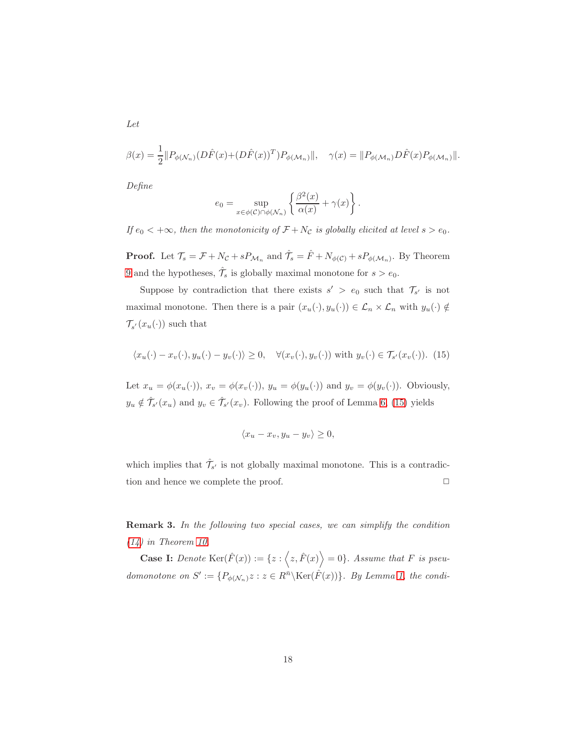$$
\beta(x) = \frac{1}{2} || P_{\phi(\mathcal{N}_n)} (D\hat{F}(x) + (D\hat{F}(x))^T) P_{\phi(\mathcal{M}_n)} ||, \quad \gamma(x) = || P_{\phi(\mathcal{M}_n)} D\hat{F}(x) P_{\phi(\mathcal{M}_n)} ||.
$$

Define

$$
e_0 = \sup_{x \in \phi(\mathcal{C}) \cap \phi(\mathcal{N}_n)} \left\{ \frac{\beta^2(x)}{\alpha(x)} + \gamma(x) \right\}.
$$

If  $e_0 < +\infty$ , then the monotonicity of  $\mathcal{F} + N_{\mathcal{C}}$  is globally elicited at level  $s > e_0$ .

**Proof.** Let  $\mathcal{T}_s = \mathcal{F} + N_{\mathcal{C}} + sP_{\mathcal{M}_n}$  and  $\hat{\mathcal{T}}_s = \hat{F} + N_{\phi(\mathcal{C})} + sP_{\phi(\mathcal{M}_n)}$ . By Theorem [9](#page-16-0) and the hypotheses,  $\hat{\mathcal{T}}_s$  is globally maximal monotone for  $s > e_0$ .

Suppose by contradiction that there exists  $s' > e_0$  such that  $\mathcal{T}_{s'}$  is not maximal monotone. Then there is a pair  $(x_u(\cdot), y_u(\cdot)) \in \mathcal{L}_n \times \mathcal{L}_n$  with  $y_u(\cdot) \notin$  $\mathcal{T}_{s'}(x_u(\cdot))$  such that

<span id="page-17-0"></span>
$$
\langle x_u(\cdot) - x_v(\cdot), y_u(\cdot) - y_v(\cdot) \rangle \ge 0, \quad \forall (x_v(\cdot), y_v(\cdot)) \text{ with } y_v(\cdot) \in \mathcal{T}_{s'}(x_v(\cdot)). \tag{15}
$$

Let  $x_u = \phi(x_u(\cdot)), x_v = \phi(x_v(\cdot)), y_u = \phi(y_u(\cdot))$  and  $y_v = \phi(y_v(\cdot)).$  Obviously,  $y_u \notin \hat{\mathcal{T}}_{s'}(x_u)$  and  $y_v \in \hat{\mathcal{T}}_{s'}(x_v)$ . Following the proof of Lemma [6,](#page-9-2) [\(15\)](#page-17-0) yields

$$
\langle x_u - x_v, y_u - y_v \rangle \ge 0,
$$

which implies that  $\hat{\mathcal{T}}_{s'}$  is not globally maximal monotone. This is a contradiction and hence we complete the proof.  $\Box$ 

Remark 3. In the following two special cases, we can simplify the condition  $(14)$  in Theorem [10.](#page-16-2)

**Case I:** Denote  $\text{Ker}(\hat{F}(x)) := \{z : \langle z, \hat{F}(x) \rangle = 0\}$ . Assume that F is pseudomonotone on  $S' := \{ P_{\phi(\mathcal{N}_n)} z : z \in R^{\bar{n}} \setminus \text{Ker}(\hat{F}(x)) \}$ . By Lemma [1,](#page-6-3) the condi-

Let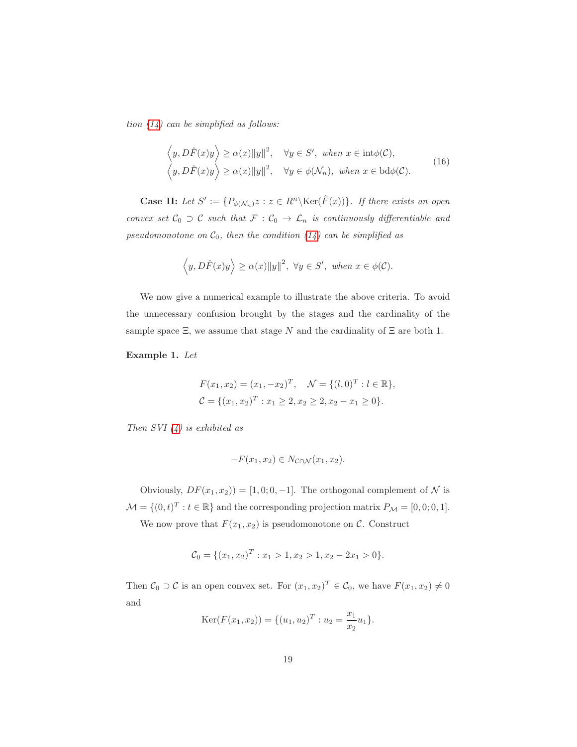tion  $(14)$  can be simplified as follows:

$$
\left\langle y, D\hat{F}(x)y \right\rangle \ge \alpha(x) \|y\|^2, \quad \forall y \in S', \text{ when } x \in \text{int}\phi(\mathcal{C}),
$$
  

$$
\left\langle y, D\hat{F}(x)y \right\rangle \ge \alpha(x) \|y\|^2, \quad \forall y \in \phi(\mathcal{N}_n), \text{ when } x \in \text{bd}\phi(\mathcal{C}).
$$
 (16)

**Case II:** Let  $S' := \{ P_{\phi(N_n)} z : z \in R^{\bar{n}} \setminus \text{Ker}(\hat{F}(x)) \}$ . If there exists an open convex set  $C_0 \supset C$  such that  $\mathcal{F} : C_0 \to \mathcal{L}_n$  is continuously differentiable and pseudomonotone on  $C_0$ , then the condition [\(14\)](#page-16-1) can be simplified as

$$
\langle y, D\hat{F}(x)y \rangle \ge \alpha(x) ||y||^2, \ \forall y \in S', \text{ when } x \in \phi(\mathcal{C}).
$$

We now give a numerical example to illustrate the above criteria. To avoid the unnecessary confusion brought by the stages and the cardinality of the sample space  $\Xi$ , we assume that stage N and the cardinality of  $\Xi$  are both 1.

Example 1. Let

$$
F(x_1, x_2) = (x_1, -x_2)^T, \quad \mathcal{N} = \{(l, 0)^T : l \in \mathbb{R}\},
$$
  

$$
\mathcal{C} = \{(x_1, x_2)^T : x_1 \ge 2, x_2 \ge 2, x_2 - x_1 \ge 0\}.
$$

Then  $SVI(4)$  is exhibited as

$$
-F(x_1, x_2) \in N_{\mathcal{C} \cap \mathcal{N}}(x_1, x_2).
$$

Obviously,  $DF(x_1, x_2)$  = [1, 0; 0, -1]. The orthogonal complement of  $\mathcal N$  is  $\mathcal{M} = \{(0, t)^T : t \in \mathbb{R}\}\$ and the corresponding projection matrix  $P_{\mathcal{M}} = [0, 0; 0, 1].$ 

We now prove that  $F(x_1, x_2)$  is pseudomonotone on C. Construct

$$
\mathcal{C}_0 = \{ (x_1, x_2)^T : x_1 > 1, x_2 > 1, x_2 - 2x_1 > 0 \}.
$$

Then  $C_0 \supset C$  is an open convex set. For  $(x_1, x_2)^T \in C_0$ , we have  $F(x_1, x_2) \neq 0$ and

$$
Ker(F(x_1, x_2)) = \{(u_1, u_2)^T : u_2 = \frac{x_1}{x_2}u_1\}.
$$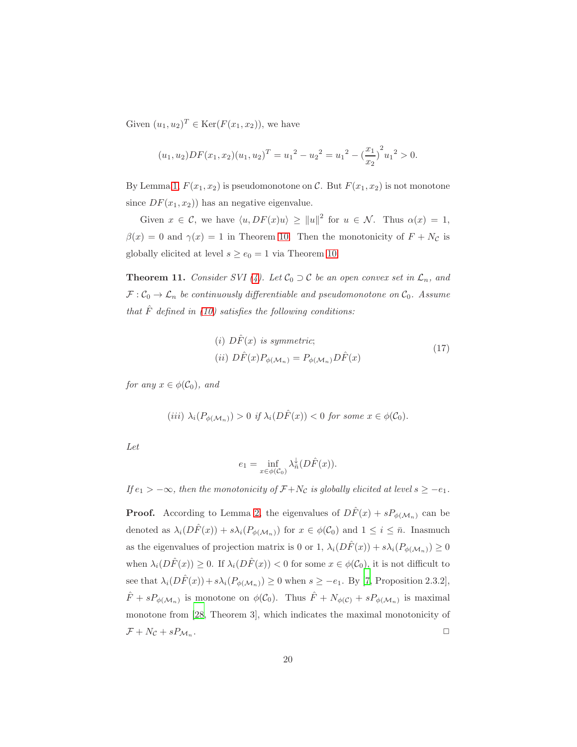Given  $(u_1, u_2)^T \in \text{Ker}(F(x_1, x_2))$ , we have

$$
(u_1, u_2)DF(x_1, x_2)(u_1, u_2)^T = u_1^2 - u_2^2 = u_1^2 - \left(\frac{x_1}{x_2}\right)^2 u_1^2 > 0.
$$

By Lemma [1,](#page-6-3)  $F(x_1, x_2)$  is pseudomonotone on C. But  $F(x_1, x_2)$  is not monotone since  $DF(x_1, x_2)$  has an negative eigenvalue.

Given  $x \in \mathcal{C}$ , we have  $\langle u, DF(x)u \rangle \ge ||u||^2$  for  $u \in \mathcal{N}$ . Thus  $\alpha(x) = 1$ ,  $\beta(x) = 0$  and  $\gamma(x) = 1$  in Theorem [10.](#page-16-2) Then the monotonicity of  $F + N_c$  is globally elicited at level  $s \ge e_0 = 1$  via Theorem [10.](#page-16-2)

<span id="page-19-0"></span>**Theorem 11.** Consider SVI [\(4\)](#page-5-0). Let  $C_0 \supset C$  be an open convex set in  $\mathcal{L}_n$ , and  $\mathcal{F}: \mathcal{C}_0 \to \mathcal{L}_n$  be continuously differentiable and pseudomonotone on  $\mathcal{C}_0$ . Assume that  $\hat{F}$  defined in [\(10\)](#page-9-3) satisfies the following conditions:

<span id="page-19-1"></span>(i) 
$$
D\hat{F}(x)
$$
 is symmetric;  
(ii)  $D\hat{F}(x)P_{\phi(\mathcal{M}_n)} = P_{\phi(\mathcal{M}_n)}D\hat{F}(x)$  (17)

for any  $x \in \phi(\mathcal{C}_0)$ , and

$$
(iii) \ \lambda_i(P_{\phi(\mathcal{M}_n)}) > 0 \ \text{if} \ \lambda_i(D\hat{F}(x)) < 0 \ \text{for some} \ x \in \phi(\mathcal{C}_0).
$$

Let

$$
e_1 = \inf_{x \in \phi(C_0)} \lambda_{\bar{n}}^{\downarrow}(D\hat{F}(x)).
$$

If  $e_1 > -\infty$ , then the monotonicity of  $\mathcal{F} + N_{\mathcal{C}}$  is globally elicited at level  $s \ge -e_1$ .

**Proof.** According to Lemma [2,](#page-6-1) the eigenvalues of  $D\hat{F}(x) + sP_{\phi(\mathcal{M}_n)}$  can be denoted as  $\lambda_i(D\hat{F}(x)) + s\lambda_i(P_{\phi(\mathcal{M}_n)})$  for  $x \in \phi(\mathcal{C}_0)$  and  $1 \leq i \leq \bar{n}$ . Inasmuch as the eigenvalues of projection matrix is 0 or 1,  $\lambda_i(D\hat{F}(x)) + s\lambda_i(P_{\phi(\mathcal{M}_n)}) \geq 0$ when  $\lambda_i(D\hat{F}(x)) \geq 0$ . If  $\lambda_i(D\hat{F}(x)) < 0$  for some  $x \in \phi(\mathcal{C}_0)$ , it is not difficult to see that  $\lambda_i(D\hat{F}(x)) + s\lambda_i(P_{\phi(\mathcal{M}_n)}) \ge 0$  when  $s \ge -e_1$ . By [\[7,](#page-35-7) Proposition 2.3.2],  $\hat{F} + sP_{\phi(\mathcal{M}_n)}$  is monotone on  $\phi(\mathcal{C}_0)$ . Thus  $\hat{F} + N_{\phi(\mathcal{C})} + sP_{\phi(\mathcal{M}_n)}$  is maximal monotone from [\[28,](#page-37-8) Theorem 3], which indicates the maximal monotonicity of  $\mathcal{F} + N_{\mathcal{C}} + s P_{\mathcal{M}_n}$ . . ✷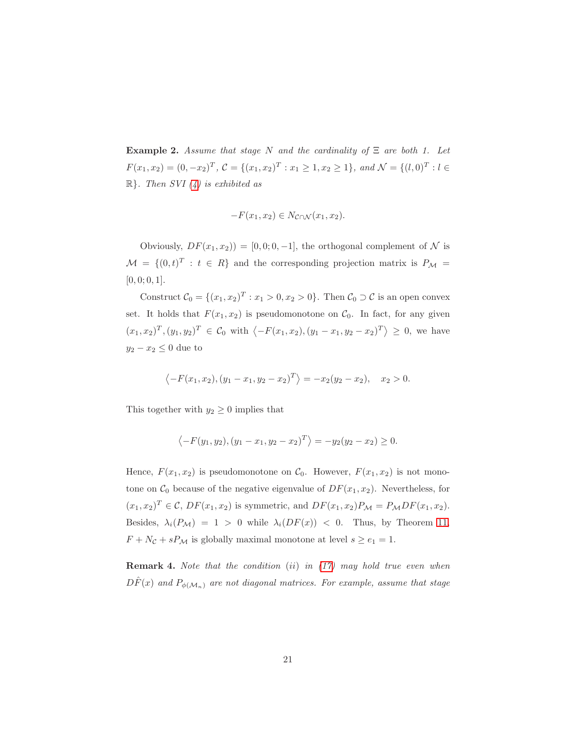**Example 2.** Assume that stage N and the cardinality of  $\Xi$  are both 1. Let  $F(x_1, x_2) = (0, -x_2)^T$ ,  $C = \{(x_1, x_2)^T : x_1 \ge 1, x_2 \ge 1\}$ , and  $\mathcal{N} = \{(l, 0)^T : l \in \mathcal{N}\}$  $\mathbb{R}$ . Then SVI [\(4\)](#page-5-0) is exhibited as

$$
-F(x_1, x_2) \in N_{\mathcal{C} \cap \mathcal{N}}(x_1, x_2).
$$

Obviously,  $DF(x_1, x_2) = [0, 0, 0, -1]$ , the orthogonal complement of N is  $\mathcal{M} = \{ (0, t)^T : t \in R \}$  and the corresponding projection matrix is  $P_{\mathcal{M}} =$  $[0, 0; 0, 1].$ 

Construct  $C_0 = \{(x_1, x_2)^T : x_1 > 0, x_2 > 0\}$ . Then  $C_0 \supset C$  is an open convex set. It holds that  $F(x_1, x_2)$  is pseudomonotone on  $\mathcal{C}_0$ . In fact, for any given  $(x_1, x_2)^T$ ,  $(y_1, y_2)^T \in \mathcal{C}_0$  with  $\langle -F(x_1, x_2), (y_1 - x_1, y_2 - x_2)^T \rangle \ge 0$ , we have  $y_2 - x_2 \leq 0$  due to

$$
\langle -F(x_1, x_2), (y_1 - x_1, y_2 - x_2)^T \rangle = -x_2(y_2 - x_2), \quad x_2 > 0.
$$

This together with  $y_2 \geq 0$  implies that

$$
\langle -F(y_1, y_2), (y_1 - x_1, y_2 - x_2)^T \rangle = -y_2(y_2 - x_2) \ge 0.
$$

Hence,  $F(x_1, x_2)$  is pseudomonotone on  $\mathcal{C}_0$ . However,  $F(x_1, x_2)$  is not monotone on  $\mathcal{C}_0$  because of the negative eigenvalue of  $DF(x_1, x_2)$ . Nevertheless, for  $(x_1, x_2)^T \in \mathcal{C}$ ,  $DF(x_1, x_2)$  is symmetric, and  $DF(x_1, x_2)P_M = P_MDF(x_1, x_2)$ . Besides,  $\lambda_i(P_{\mathcal{M}}) = 1 > 0$  while  $\lambda_i(DF(x)) < 0$ . Thus, by Theorem [11,](#page-19-0)  $F + N_c + sP_M$  is globally maximal monotone at level  $s \ge e_1 = 1$ .

**Remark 4.** Note that the condition  $(ii)$  in  $(17)$  may hold true even when  $DF(x)$  and  $P_{\phi(\mathcal{M}_n)}$  are not diagonal matrices. For example, assume that stage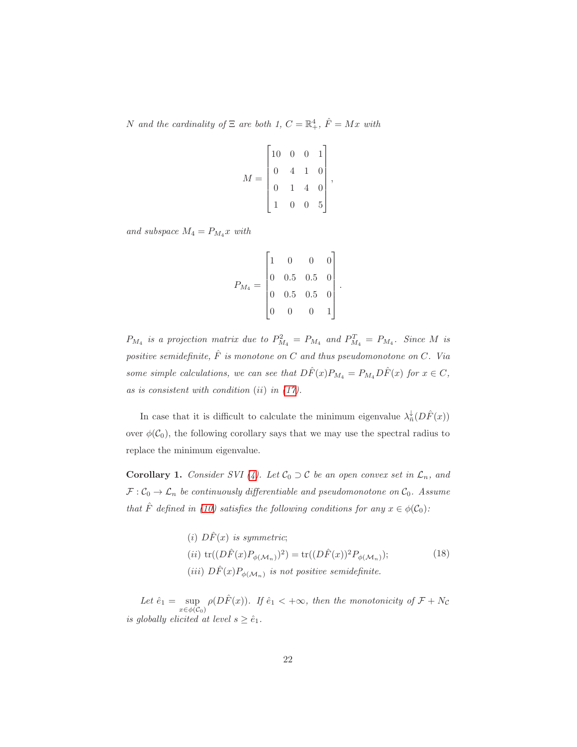N and the cardinality of  $\Xi$  are both 1,  $C = \mathbb{R}^4_+$ ,  $\hat{F} = Mx$  with

$$
M = \begin{bmatrix} 10 & 0 & 0 & 1 \\ 0 & 4 & 1 & 0 \\ 0 & 1 & 4 & 0 \\ 1 & 0 & 0 & 5 \end{bmatrix},
$$

and subspace  $M_4 = P_{M_4} x$  with

$$
P_{M_4} = \begin{bmatrix} 1 & 0 & 0 & 0 \\ 0 & 0.5 & 0.5 & 0 \\ 0 & 0.5 & 0.5 & 0 \\ 0 & 0 & 0 & 1 \end{bmatrix}.
$$

 $P_{M_4}$  is a projection matrix due to  $P_{M_4}^2 = P_{M_4}$  and  $P_{M_4}^T = P_{M_4}$ . Since M is positive semidefinite,  $\hat{F}$  is monotone on C and thus pseudomonotone on C. Via some simple calculations, we can see that  $D\hat{F}(x)P_{M_4} = P_{M_4}D\hat{F}(x)$  for  $x \in C$ , as is consistent with condition  $(ii)$  in  $(17)$ .

In case that it is difficult to calculate the minimum eigenvalue  $\lambda_n^{\downarrow}(D\hat{F}(x))$ over  $\phi(\mathcal{C}_0)$ , the following corollary says that we may use the spectral radius to replace the minimum eigenvalue.

**Corollary 1.** Consider SVI [\(4\)](#page-5-0). Let  $C_0 \supset C$  be an open convex set in  $\mathcal{L}_n$ , and  $\mathcal{F}: \mathcal{C}_0 \to \mathcal{L}_n$  be continuously differentiable and pseudomonotone on  $\mathcal{C}_0$ . Assume that  $\hat{F}$  defined in [\(10\)](#page-9-3) satisfies the following conditions for any  $x \in \phi(\mathcal{C}_0)$ :

> (i)  $D\hat{F}(x)$  is symmetric; (*ii*)  $\text{tr}((D\hat{F}(x)P_{\phi(\mathcal{M}_n)})^2) = \text{tr}((D\hat{F}(x))^2 P_{\phi(\mathcal{M}_n)})$ ; (iii)  $D\hat{F}(x)P_{\phi(\mathcal{M}_n)}$  is not positive semidefinite. (18)

Let  $\hat{e}_1 = \sup_{x \in \phi(C_0)} \rho(D\hat{F}(x))$ . If  $\hat{e}_1 < +\infty$ , then the monotonicity of  $\mathcal{F} + N_c$ is globally elicited at level  $s \geq \hat{e}_1$ .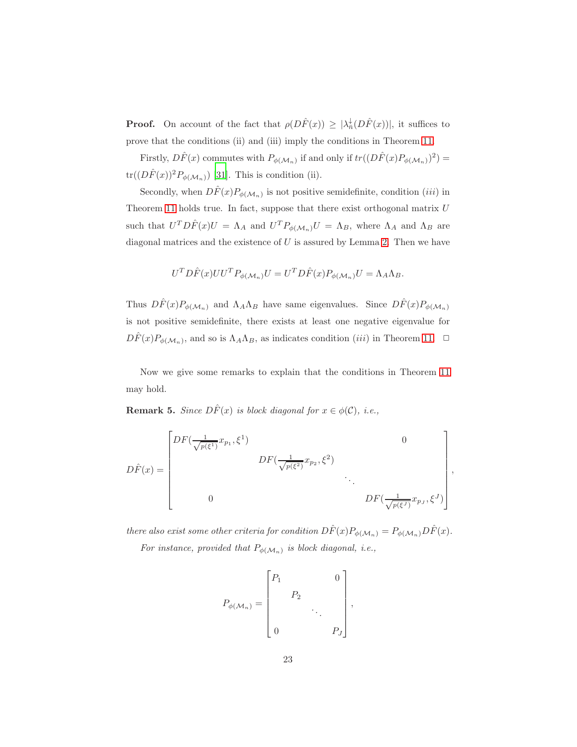**Proof.** On account of the fact that  $\rho(D\hat{F}(x)) \geq |\lambda_{\overline{n}}^{\downarrow}(D\hat{F}(x))|$ , it suffices to prove that the conditions (ii) and (iii) imply the conditions in Theorem [11.](#page-19-0)

Firstly,  $D\hat{F}(x)$  commutes with  $P_{\phi(\mathcal{M}_n)}$  if and only if  $tr((D\hat{F}(x)P_{\phi(\mathcal{M}_n)})^2)$  =  $tr((D\hat{F}(x))^2 P_{\phi(\mathcal{M}_n)})$  [\[31\]](#page-37-5). This is condition (ii).

Secondly, when  $D\hat{F}(x)P_{\phi(\mathcal{M}_n)}$  is not positive semidefinite, condition *(iii)* in Theorem [11](#page-19-0) holds true. In fact, suppose that there exist orthogonal matrix  $U$ such that  $U^T D\hat{F}(x)U = \Lambda_A$  and  $U^T P_{\phi(\mathcal{M}_n)}U = \Lambda_B$ , where  $\Lambda_A$  and  $\Lambda_B$  are diagonal matrices and the existence of  $U$  is assured by Lemma [2.](#page-6-1) Then we have

$$
U^T D \hat{F}(x) U U^T P_{\phi(\mathcal{M}_n)} U = U^T D \hat{F}(x) P_{\phi(\mathcal{M}_n)} U = \Lambda_A \Lambda_B.
$$

Thus  $D\hat{F}(x)P_{\phi(\mathcal{M}_n)}$  and  $\Lambda_A\Lambda_B$  have same eigenvalues. Since  $D\hat{F}(x)P_{\phi(\mathcal{M}_n)}$ is not positive semidefinite, there exists at least one negative eigenvalue for  $D\hat{F}(x)P_{\phi(\mathcal{M}_n)}$ , and so is  $\Lambda_A\Lambda_B$ , as indicates condition *(iii)* in Theorem [11.](#page-19-0)  $\Box$ 

Now we give some remarks to explain that the conditions in Theorem [11](#page-19-0) may hold.

**Remark 5.** Since  $D\hat{F}(x)$  is block diagonal for  $x \in \phi(\mathcal{C})$ , i.e.,

$$
D\hat{F}(x) = \begin{bmatrix} DF(\frac{1}{\sqrt{p(\xi^1)}}x_{p_1}, \xi^1) & 0 \\ 0 & DF(\frac{1}{\sqrt{p(\xi^2)}}x_{p_2}, \xi^2) \\ 0 & \ddots & \ddots \\ 0 & DF(\frac{1}{\sqrt{p(\xi^J)}}x_{p_J}, \xi^J) \end{bmatrix},
$$

there also exist some other criteria for condition  $D\hat{F}(x)P_{\phi(\mathcal{M}_n)}=P_{\phi(\mathcal{M}_n)}D\hat{F}(x)$ . For instance, provided that  $P_{\phi(\mathcal{M}_n)}$  is block diagonal, i.e.,

$$
P_{\phi(\mathcal{M}_n)} = \begin{bmatrix} P_1 & & & 0 \\ & P_2 & & \\ & & \ddots & \\ 0 & & & P_J \end{bmatrix},
$$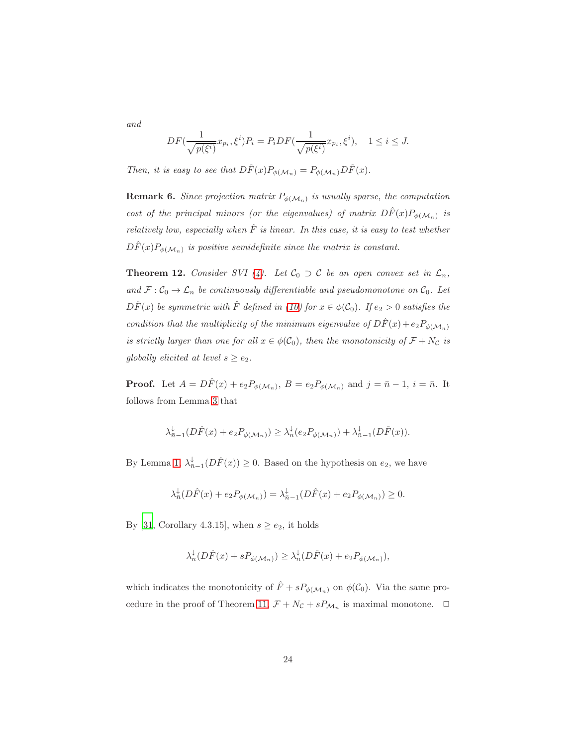and

$$
DF(\frac{1}{\sqrt{p(\xi^i)}}x_{p_i}, \xi^i)P_i = P_i DF(\frac{1}{\sqrt{p(\xi^i)}}x_{p_i}, \xi^i), \quad 1 \le i \le J.
$$

Then, it is easy to see that  $D\hat{F}(x)P_{\phi(\mathcal{M}_n)}=P_{\phi(\mathcal{M}_n)}D\hat{F}(x)$ .

**Remark 6.** Since projection matrix  $P_{\phi(\mathcal{M}_n)}$  is usually sparse, the computation cost of the principal minors (or the eigenvalues) of matrix  $D\hat{F}(x)P_{\phi(\mathcal{M}_n)}$  is relatively low, especially when  $\hat{F}$  is linear. In this case, it is easy to test whether  $D\hat{F}(x)P_{\phi(\mathcal{M}_n)}$  is positive semidefinite since the matrix is constant.

<span id="page-23-0"></span>**Theorem 12.** Consider SVI [\(4\)](#page-5-0). Let  $C_0 \supset C$  be an open convex set in  $\mathcal{L}_n$ , and  $\mathcal{F}:\mathcal{C}_0\to\mathcal{L}_n$  be continuously differentiable and pseudomonotone on  $\mathcal{C}_0$ . Let  $D\hat{F}(x)$  be symmetric with  $\hat{F}$  defined in [\(10\)](#page-9-3) for  $x \in \phi(\mathcal{C}_0)$ . If  $e_2 > 0$  satisfies the condition that the multiplicity of the minimum eigenvalue of  $D\hat{F}(x) + e_2P_{\phi(\mathcal{M}_n)}$ is strictly larger than one for all  $x \in \phi(\mathcal{C}_0)$ , then the monotonicity of  $\mathcal{F} + N_{\mathcal{C}}$  is globally elicited at level  $s \ge e_2$ .

**Proof.** Let  $A = D\hat{F}(x) + e_2 P_{\phi(\mathcal{M}_n)}, B = e_2 P_{\phi(\mathcal{M}_n)}$  and  $j = \bar{n} - 1, i = \bar{n}$ . It follows from Lemma [3](#page-6-4) that

$$
\lambda_{\bar{n}-1}^{\downarrow}(D\hat{F}(x)+e_2P_{\phi(\mathcal{M}_n)})\geq \lambda_{\bar{n}}^{\downarrow}(e_2P_{\phi(\mathcal{M}_n)})+\lambda_{\bar{n}-1}^{\downarrow}(D\hat{F}(x)).
$$

By Lemma [1,](#page-6-3)  $\lambda_{\bar{n}-1}^{\downarrow}(D\hat{F}(x)) \geq 0$ . Based on the hypothesis on  $e_2$ , we have

$$
\lambda_n^{\downarrow}(D\hat{F}(x) + e_2 P_{\phi(\mathcal{M}_n)}) = \lambda_{\bar{n}-1}^{\downarrow}(D\hat{F}(x) + e_2 P_{\phi(\mathcal{M}_n)}) \ge 0.
$$

By [\[31](#page-37-5), Corollary 4.3.15], when  $s \ge e_2$ , it holds

$$
\lambda_{\bar{n}}^{\downarrow}(D\hat{F}(x)+sP_{\phi(\mathcal{M}_n)})\geq \lambda_{\bar{n}}^{\downarrow}(D\hat{F}(x)+e_2P_{\phi(\mathcal{M}_n)}),
$$

which indicates the monotonicity of  $\hat{F} + sP_{\phi(\mathcal{M}_n)}$  on  $\phi(\mathcal{C}_0)$ . Via the same pro-cedure in the proof of Theorem [11,](#page-19-0)  $\mathcal{F} + N_{\mathcal{C}} + sP_{\mathcal{M}_n}$  is maximal monotone.  $\Box$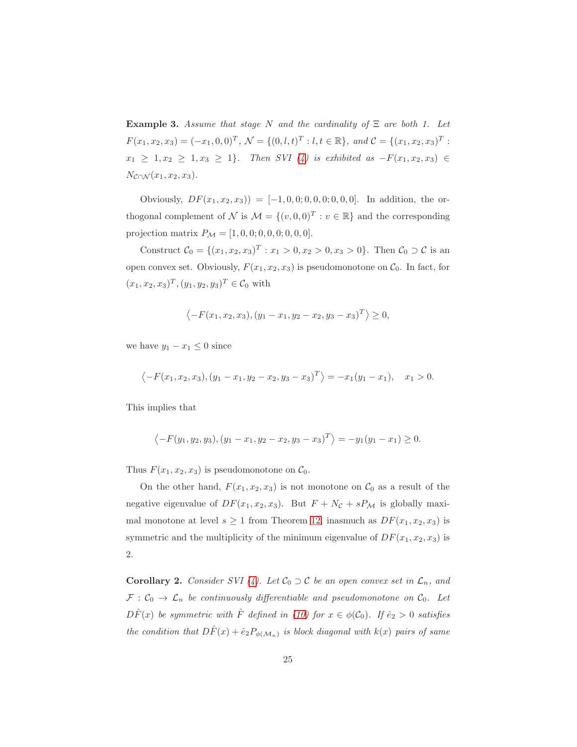**Example 3.** Assume that stage N and the cardinality of  $\Xi$  are both 1. Let  $F(x_1, x_2, x_3) = (-x_1, 0, 0)^T$ ,  $\mathcal{N} = \{(0, l, t)^T : l, t \in \mathbb{R}\}$ , and  $\mathcal{C} = \{(x_1, x_2, x_3)^T :$  $x_1 \geq 1, x_2 \geq 1, x_3 \geq 1$ . Then SVI [\(4\)](#page-5-0) is exhibited as  $-F(x_1, x_2, x_3) \in$  $N_{\mathcal{C}\cap\mathcal{N}}(x_1,x_2,x_3).$ 

Obviously,  $DF(x_1, x_2, x_3) = [-1, 0, 0, 0, 0, 0, 0, 0, 0]$ . In addition, the orthogonal complement of  $\mathcal N$  is  $\mathcal M = \{(v, 0, 0)^T : v \in \mathbb{R}\}$  and the corresponding projection matrix  $P_M = [1, 0, 0, 0, 0, 0, 0, 0, 0].$ 

Construct  $C_0 = \{(x_1, x_2, x_3)^T : x_1 > 0, x_2 > 0, x_3 > 0\}$ . Then  $C_0 \supset C$  is an open convex set. Obviously,  $F(x_1, x_2, x_3)$  is pseudomonotone on  $\mathcal{C}_0$ . In fact, for  $(x_1, x_2, x_3)^T, (y_1, y_2, y_3)^T \in \mathcal{C}_0$  with

$$
\langle -F(x_1, x_2, x_3), (y_1 - x_1, y_2 - x_2, y_3 - x_3)^T \rangle \ge 0,
$$

we have  $y_1 - x_1 \leq 0$  since

$$
\langle -F(x_1, x_2, x_3), (y_1 - x_1, y_2 - x_2, y_3 - x_3)^T \rangle = -x_1(y_1 - x_1), \quad x_1 > 0.
$$

This implies that

$$
\langle -F(y_1, y_2, y_3), (y_1 - x_1, y_2 - x_2, y_3 - x_3)^T \rangle = -y_1(y_1 - x_1) \ge 0.
$$

Thus  $F(x_1, x_2, x_3)$  is pseudomonotone on  $\mathcal{C}_0$ .

On the other hand,  $F(x_1, x_2, x_3)$  is not monotone on  $\mathcal{C}_0$  as a result of the negative eigenvalue of  $DF(x_1, x_2, x_3)$ . But  $F + N_c + sP_M$  is globally maximal monotone at level  $s \ge 1$  from Theorem [12,](#page-23-0) inasmuch as  $DF(x_1, x_2, x_3)$  is symmetric and the multiplicity of the minimum eigenvalue of  $DF(x_1, x_2, x_3)$  is 2.

**Corollary 2.** Consider SVI [\(4\)](#page-5-0). Let  $C_0 \supset C$  be an open convex set in  $\mathcal{L}_n$ , and  $\mathcal{F}: \mathcal{C}_0 \to \mathcal{L}_n$  be continuously differentiable and pseudomonotone on  $\mathcal{C}_0$ . Let  $D\hat{F}(x)$  be symmetric with  $\hat{F}$  defined in [\(10\)](#page-9-3) for  $x \in \phi(\mathcal{C}_0)$ . If  $\hat{e}_2 > 0$  satisfies the condition that  $D\hat{F}(x) + \hat{e}_2 P_{\phi(\mathcal{M}_n)}$  is block diagonal with  $k(x)$  pairs of same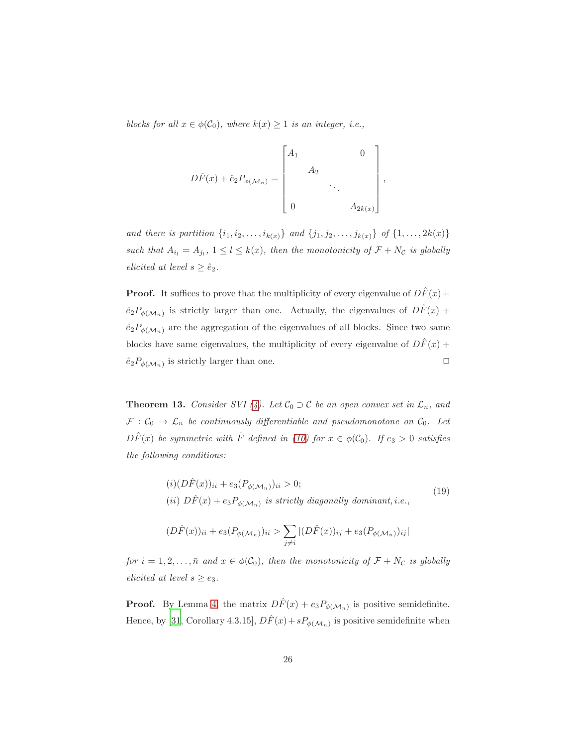blocks for all  $x \in \phi(\mathcal{C}_0)$ , where  $k(x) \geq 1$  is an integer, i.e.,

$$
D\hat{F}(x) + \hat{e}_2 P_{\phi(\mathcal{M}_n)} = \begin{bmatrix} A_1 & & & 0 \\ & A_2 & & \\ & & \ddots & \\ 0 & & & A_{2k(x)} \end{bmatrix},
$$

and there is partition  $\{i_1, i_2, ..., i_{k(x)}\}$  and  $\{j_1, j_2, ..., j_{k(x)}\}$  of  $\{1, ..., 2k(x)\}$ such that  $A_{i_l} = A_{j_l}$ ,  $1 \leq l \leq k(x)$ , then the monotonicity of  $\mathcal{F} + N_{\mathcal{C}}$  is globally elicited at level  $s \geq \hat{e}_2$ .

**Proof.** It suffices to prove that the multiplicity of every eigenvalue of  $D\hat{F}(x)$  +  $\hat{e}_2P_{\phi(\mathcal{M}_n)}$  is strictly larger than one. Actually, the eigenvalues of  $D\hat{F}(x)$  +  $\hat{e}_2P_{\phi(\mathcal{M}_n)}$  are the aggregation of the eigenvalues of all blocks. Since two same blocks have same eigenvalues, the multiplicity of every eigenvalue of  $D\hat{F}(x)$  +  $\hat{e}_2P_{\phi(\mathcal{M}_n)}$  is strictly larger than one.

**Theorem 13.** Consider SVI [\(4\)](#page-5-0). Let  $C_0 \supset C$  be an open convex set in  $\mathcal{L}_n$ , and  $\mathcal{F}: \mathcal{C}_0 \to \mathcal{L}_n$  be continuously differentiable and pseudomonotone on  $\mathcal{C}_0$ . Let  $D\hat{F}(x)$  be symmetric with  $\hat{F}$  defined in [\(10\)](#page-9-3) for  $x \in \phi(\mathcal{C}_0)$ . If  $e_3 > 0$  satisfies the following conditions:

$$
(i)(D\hat{F}(x))_{ii} + e_3(P_{\phi(\mathcal{M}_n)})_{ii} > 0;
$$
  
(ii)  $D\hat{F}(x) + e_3P_{\phi(\mathcal{M}_n)}$  is strictly diagonally dominant, i.e., (19)

$$
(D\hat{F}(x))_{ii} + e_3(P_{\phi(\mathcal{M}_n)})_{ii} > \sum_{j \neq i} |(D\hat{F}(x))_{ij} + e_3(P_{\phi(\mathcal{M}_n)})_{ij}|
$$

for  $i = 1, 2, ..., \bar{n}$  and  $x \in \phi(\mathcal{C}_0)$ , then the monotonicity of  $\mathcal{F} + N_{\mathcal{C}}$  is globally elicited at level  $s \ge e_3$ .

**Proof.** By Lemma [4,](#page-7-3) the matrix  $D\hat{F}(x) + e_3P_{\phi(\mathcal{M}_n)}$  is positive semidefinite. Hence, by [\[31,](#page-37-5) Corollary 4.3.15],  $D\hat{F}(x) + sP_{\phi(\mathcal{M}_n)}$  is positive semidefinite when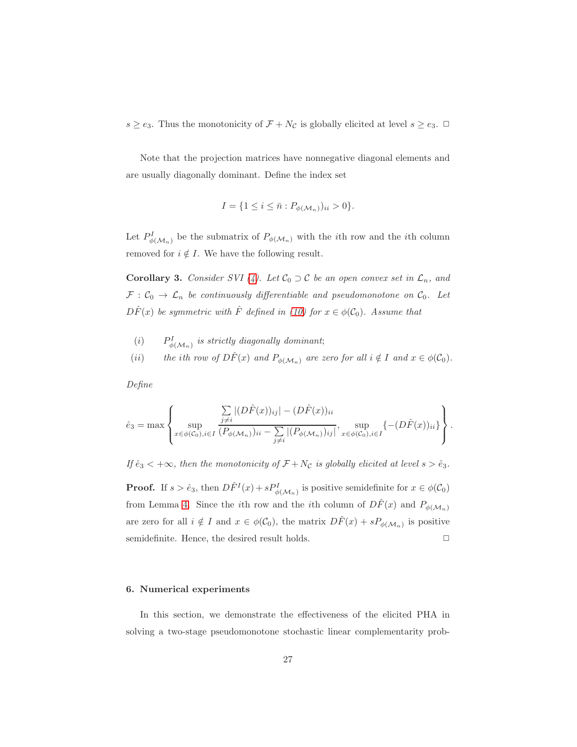$s \ge e_3$ . Thus the monotonicity of  $\mathcal{F} + N_{\mathcal{C}}$  is globally elicited at level  $s \ge e_3$ .  $\Box$ 

Note that the projection matrices have nonnegative diagonal elements and are usually diagonally dominant. Define the index set

$$
I = \{1 \le i \le \bar{n} : P_{\phi(\mathcal{M}_n)})_{ii} > 0\}.
$$

Let  $P_{\phi(\mathcal{M}_n)}^I$  be the submatrix of  $P_{\phi(\mathcal{M}_n)}$  with the *i*th row and the *i*th column removed for  $i \notin I$ . We have the following result.

**Corollary 3.** Consider SVI [\(4\)](#page-5-0). Let  $C_0 \supset C$  be an open convex set in  $\mathcal{L}_n$ , and  $\mathcal{F}: \mathcal{C}_0 \to \mathcal{L}_n$  be continuously differentiable and pseudomonotone on  $\mathcal{C}_0$ . Let  $D\hat{F}(x)$  be symmetric with  $\hat{F}$  defined in [\(10\)](#page-9-3) for  $x \in \phi(\mathcal{C}_0)$ . Assume that

- $(i)$  $\psi^I_{\phi(\mathcal{M}_n)}$  is strictly diagonally dominant;
- (ii) the ith row of  $D\hat{F}(x)$  and  $P_{\phi(\mathcal{M}_n)}$  are zero for all  $i \notin I$  and  $x \in \phi(\mathcal{C}_0)$ .

Define

$$
\hat{e}_3 = \max \left\{ \sup_{x \in \phi(C_0), i \in I} \frac{\sum\limits_{j \neq i} |(D\hat{F}(x))_{ij}| - (D\hat{F}(x))_{ii}}{\left(P_{\phi(\mathcal{M}_n)})_{ii} - \sum\limits_{j \neq i} |(P_{\phi(\mathcal{M}_n)})_{ij}\right|}, \sup_{x \in \phi(C_0), i \in I} \{- (D\hat{F}(x))_{ii}\}\right\}.
$$

If  $\hat{e}_3 < +\infty$ , then the monotonicity of  $\mathcal{F} + N_{\mathcal{C}}$  is globally elicited at level  $s > \hat{e}_3$ .

**Proof.** If  $s > \hat{e}_3$ , then  $D\hat{F}^I(x) + sP^I_{\phi(\mathcal{M}_n)}$  is positive semidefinite for  $x \in \phi(\mathcal{C}_0)$ from Lemma [4.](#page-7-3) Since the *i*th row and the *i*th column of  $D\hat{F}(x)$  and  $P_{\phi(\mathcal{M}_n)}$ are zero for all  $i \notin I$  and  $x \in \phi(\mathcal{C}_0)$ , the matrix  $D\hat{F}(x) + sP_{\phi(\mathcal{M}_n)}$  is positive semidefinite. Hence, the desired result holds.  $\Box$ 

#### <span id="page-26-0"></span>6. Numerical experiments

In this section, we demonstrate the effectiveness of the elicited PHA in solving a two-stage pseudomonotone stochastic linear complementarity prob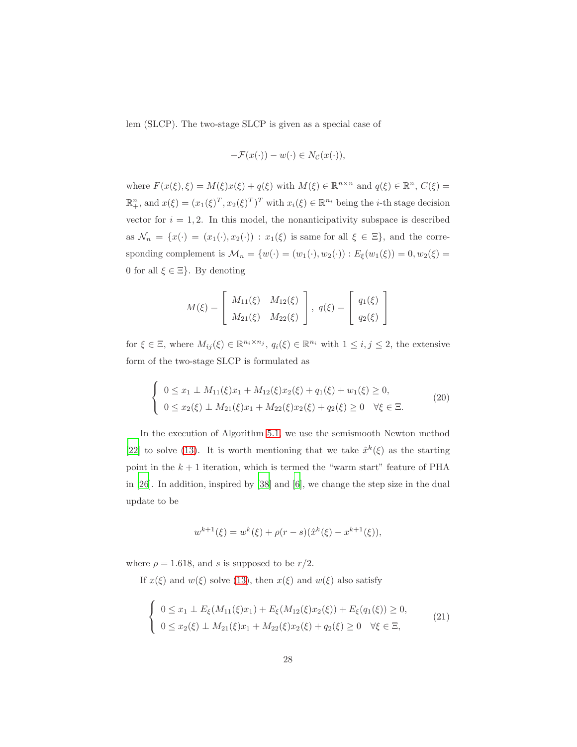lem (SLCP). The two-stage SLCP is given as a special case of

$$
-\mathcal{F}(x(\cdot)) - w(\cdot) \in N_{\mathcal{C}}(x(\cdot)),
$$

where  $F(x(\xi), \xi) = M(\xi)x(\xi) + q(\xi)$  with  $M(\xi) \in \mathbb{R}^{n \times n}$  and  $q(\xi) \in \mathbb{R}^n$ ,  $C(\xi) =$  $\mathbb{R}^n_+$ , and  $x(\xi) = (x_1(\xi)^T, x_2(\xi)^T)^T$  with  $x_i(\xi) \in \mathbb{R}^{n_i}$  being the *i*-th stage decision vector for  $i = 1, 2$ . In this model, the nonanticipativity subspace is described as  $\mathcal{N}_n = \{x(\cdot) = (x_1(\cdot), x_2(\cdot)) : x_1(\xi)$  is same for all  $\xi \in \Xi\}$ , and the corresponding complement is  $\mathcal{M}_n = \{w(\cdot) = (w_1(\cdot), w_2(\cdot)) : E_{\xi}(w_1(\xi)) = 0, w_2(\xi) = 0\}$ 0 for all  $\xi \in \Xi$ . By denoting

$$
M(\xi) = \begin{bmatrix} M_{11}(\xi) & M_{12}(\xi) \\ M_{21}(\xi) & M_{22}(\xi) \end{bmatrix}, q(\xi) = \begin{bmatrix} q_1(\xi) \\ q_2(\xi) \end{bmatrix}
$$

for  $\xi \in \Xi$ , where  $M_{ij}(\xi) \in \mathbb{R}^{n_i \times n_j}$ ,  $q_i(\xi) \in \mathbb{R}^{n_i}$  with  $1 \leq i, j \leq 2$ , the extensive form of the two-stage SLCP is formulated as

<span id="page-27-0"></span>
$$
\begin{cases}\n0 \leq x_1 \perp M_{11}(\xi)x_1 + M_{12}(\xi)x_2(\xi) + q_1(\xi) + w_1(\xi) \geq 0, \\
0 \leq x_2(\xi) \perp M_{21}(\xi)x_1 + M_{22}(\xi)x_2(\xi) + q_2(\xi) \geq 0 \quad \forall \xi \in \Xi.\n\end{cases}
$$
\n(20)

In the execution of Algorithm 5.[1,](#page-14-0) we use the semismooth Newton method [\[22\]](#page-36-8) to solve [\(13\)](#page-15-1). It is worth mentioning that we take  $\hat{x}^k(\xi)$  as the starting point in the  $k + 1$  iteration, which is termed the "warm start" feature of PHA in [\[26\]](#page-37-1). In addition, inspired by [\[38\]](#page-38-5) and [\[6](#page-35-8)], we change the step size in the dual update to be

$$
w^{k+1}(\xi) = w^k(\xi) + \rho(r-s)(\hat{x}^k(\xi) - x^{k+1}(\xi)),
$$

where  $\rho = 1.618$ , and s is supposed to be  $r/2$ .

If  $x(\xi)$  and  $w(\xi)$  solve [\(13\)](#page-15-1), then  $x(\xi)$  and  $w(\xi)$  also satisfy

$$
\begin{cases}\n0 \leq x_1 \perp E_{\xi}(M_{11}(\xi)x_1) + E_{\xi}(M_{12}(\xi)x_2(\xi)) + E_{\xi}(q_1(\xi)) \geq 0, \\
0 \leq x_2(\xi) \perp M_{21}(\xi)x_1 + M_{22}(\xi)x_2(\xi) + q_2(\xi) \geq 0 \quad \forall \xi \in \Xi,\n\end{cases}
$$
\n(21)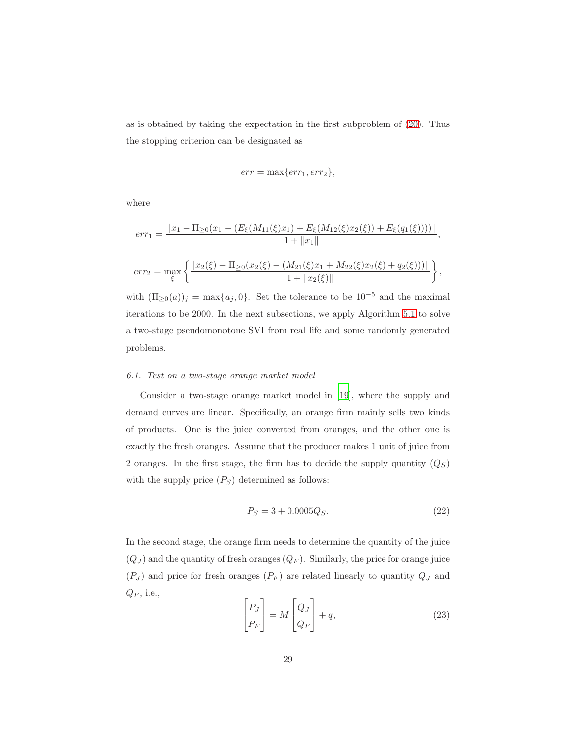as is obtained by taking the expectation in the first subproblem of [\(20\)](#page-27-0). Thus the stopping criterion can be designated as

$$
err = \max\{err_1, err_2\},\
$$

where

$$
err_1 = \frac{||x_1 - \Pi_{\geq 0}(x_1 - (E_{\xi}(M_{11}(\xi)x_1) + E_{\xi}(M_{12}(\xi)x_2(\xi)) + E_{\xi}(q_1(\xi))))||}{1 + ||x_1||},
$$

$$
err_2 = \max_{\xi} \left\{ \frac{\|x_2(\xi) - \Pi_{\geq 0}(x_2(\xi) - (M_{21}(\xi)x_1 + M_{22}(\xi)x_2(\xi) + q_2(\xi)))\|}{1 + \|x_2(\xi)\|} \right\},
$$

with  $(\Pi_{\geq 0}(a))_j = \max\{a_j, 0\}$ . Set the tolerance to be  $10^{-5}$  and the maximal iterations to be 2000. In the next subsections, we apply Algorithm [5.1](#page-14-0) to solve a two-stage pseudomonotone SVI from real life and some randomly generated problems.

## 6.1. Test on a two-stage orange market model

Consider a two-stage orange market model in [\[19](#page-36-9)], where the supply and demand curves are linear. Specifically, an orange firm mainly sells two kinds of products. One is the juice converted from oranges, and the other one is exactly the fresh oranges. Assume that the producer makes 1 unit of juice from 2 oranges. In the first stage, the firm has to decide the supply quantity  $(Q_S)$ with the supply price  $(P<sub>S</sub>)$  determined as follows:

<span id="page-28-1"></span>
$$
P_S = 3 + 0.0005Q_S.
$$
\n(22)

In the second stage, the orange firm needs to determine the quantity of the juice  $(Q_J)$  and the quantity of fresh oranges  $(Q_F)$ . Similarly, the price for orange juice  $(P_J)$  and price for fresh oranges  $(P_F)$  are related linearly to quantity  $Q_J$  and  $Q_F$ , i.e.,

<span id="page-28-0"></span>
$$
\begin{bmatrix} P_J \\ P_F \end{bmatrix} = M \begin{bmatrix} Q_J \\ Q_F \end{bmatrix} + q,\tag{23}
$$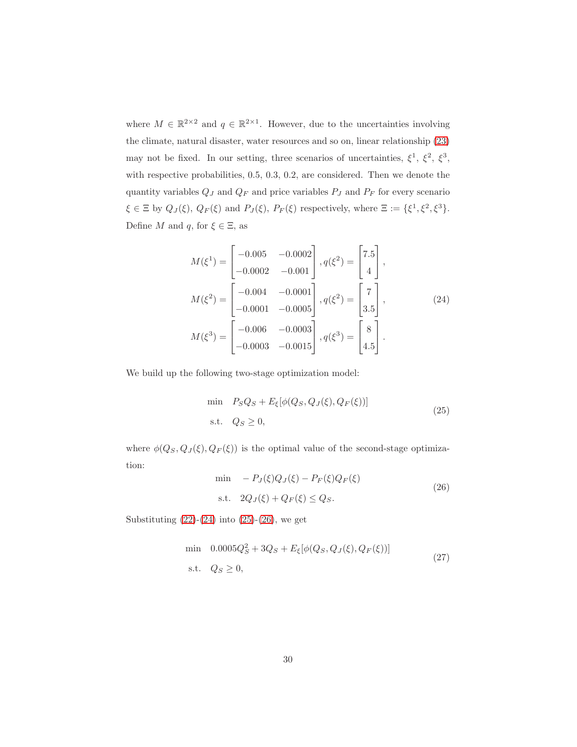where  $M \in \mathbb{R}^{2 \times 2}$  and  $q \in \mathbb{R}^{2 \times 1}$ . However, due to the uncertainties involving the climate, natural disaster, water resources and so on, linear relationship [\(23\)](#page-28-0) may not be fixed. In our setting, three scenarios of uncertainties,  $\xi^1$ ,  $\xi^2$ ,  $\xi^3$ , with respective probabilities, 0.5, 0.3, 0.2, are considered. Then we denote the quantity variables  $Q_J$  and  $Q_F$  and price variables  $P_J$  and  $P_F$  for every scenario  $\xi \in \Xi$  by  $Q_J(\xi)$ ,  $Q_F(\xi)$  and  $P_J(\xi)$ ,  $P_F(\xi)$  respectively, where  $\Xi := {\xi^1, \xi^2, \xi^3}.$ Define  $M$  and  $q$ , for  $\xi \in \Xi$ , as

<span id="page-29-0"></span>
$$
M(\xi^1) = \begin{bmatrix} -0.005 & -0.0002 \\ -0.0002 & -0.001 \end{bmatrix}, q(\xi^2) = \begin{bmatrix} 7.5 \\ 4 \end{bmatrix},
$$
  
\n
$$
M(\xi^2) = \begin{bmatrix} -0.004 & -0.0001 \\ -0.0001 & -0.0005 \end{bmatrix}, q(\xi^2) = \begin{bmatrix} 7 \\ 3.5 \end{bmatrix},
$$
  
\n
$$
M(\xi^3) = \begin{bmatrix} -0.006 & -0.0003 \\ -0.0003 & -0.0015 \end{bmatrix}, q(\xi^3) = \begin{bmatrix} 8 \\ 4.5 \end{bmatrix}.
$$
 (24)

We build up the following two-stage optimization model:

<span id="page-29-1"></span>
$$
\begin{aligned}\n\min \quad & P_S Q_S + E_\xi[\phi(Q_S, Q_J(\xi), Q_F(\xi))] \\
\text{s.t.} \quad & Q_S \ge 0,\n\end{aligned}\n\tag{25}
$$

where  $\phi(Q_S, Q_J(\xi), Q_F(\xi))$  is the optimal value of the second-stage optimization:

<span id="page-29-2"></span>
$$
\begin{aligned}\n\min & -P_J(\xi)Q_J(\xi) - P_F(\xi)Q_F(\xi) \\
\text{s.t.} & 2Q_J(\xi) + Q_F(\xi) \le Q_S.\n\end{aligned} \tag{26}
$$

Substituting  $(22)-(24)$  $(22)-(24)$  into  $(25)-(26)$  $(25)-(26)$ , we get

<span id="page-29-3"></span>
$$
\begin{aligned}\n\min \quad & 0.0005Q_S^2 + 3Q_S + E_{\xi}[\phi(Q_S, Q_J(\xi), Q_F(\xi))] \\
\text{s.t.} \quad & Q_S \ge 0,\n\end{aligned}\n\tag{27}
$$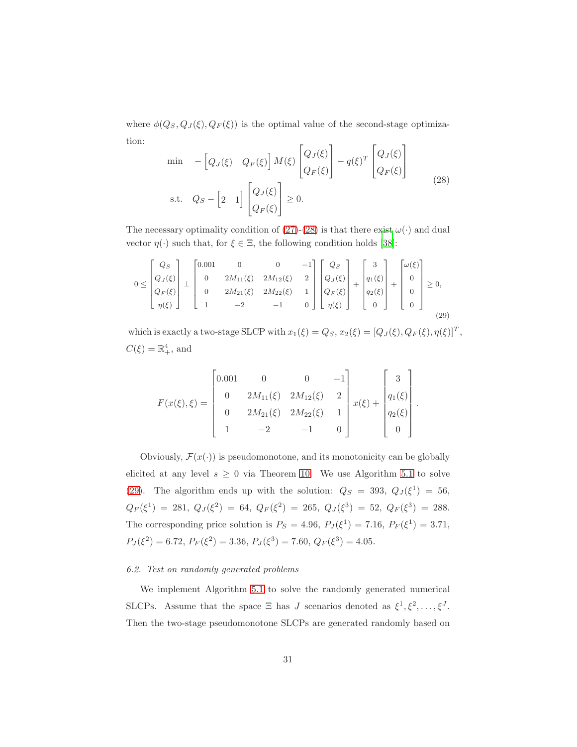where  $\phi(Q_S, Q_J(\xi), Q_F(\xi))$  is the optimal value of the second-stage optimization:  $\overline{a}$ 

<span id="page-30-0"></span>
$$
\begin{aligned}\n\min \quad & -\left[Q_J(\xi) \quad Q_F(\xi)\right] M(\xi) \begin{bmatrix} Q_J(\xi) \\ Q_F(\xi) \end{bmatrix} - q(\xi)^T \begin{bmatrix} Q_J(\xi) \\ Q_F(\xi) \end{bmatrix} \\
\text{s.t.} \quad & Q_S - \left[2 \quad 1\right] \begin{bmatrix} Q_J(\xi) \\ Q_F(\xi) \end{bmatrix} \ge 0.\n\end{aligned} \tag{28}
$$

The necessary optimality condition of [\(27\)](#page-29-3)-[\(28\)](#page-30-0) is that there exist  $\omega(\cdot)$  and dual vector  $\eta(\cdot)$  such that, for  $\xi \in \Xi$ , the following condition holds [\[38\]](#page-38-5):

<span id="page-30-1"></span>
$$
0 \leq \begin{bmatrix} Q_S \\ Q_J(\xi) \\ Q_F(\xi) \\ \eta(\xi) \end{bmatrix} \perp \begin{bmatrix} 0.001 & 0 & 0 & -1 \\ 0 & 2M_{11}(\xi) & 2M_{12}(\xi) & 2 \\ 0 & 2M_{21}(\xi) & 2M_{22}(\xi) & 1 \\ 1 & -2 & -1 & 0 \end{bmatrix} \begin{bmatrix} Q_S \\ Q_J(\xi) \\ Q_F(\xi) \\ \eta(\xi) \end{bmatrix} + \begin{bmatrix} 3 \\ q_1(\xi) \\ q_2(\xi) \\ 0 \end{bmatrix} + \begin{bmatrix} \omega(\xi) \\ 0 \\ 0 \\ 0 \end{bmatrix} \geq 0,
$$
\n(29)

which is exactly a two-stage SLCP with  $x_1(\xi) = Q_S$ ,  $x_2(\xi) = [Q_J(\xi), Q_F(\xi), \eta(\xi)]^T$ ,  $C(\xi) = \mathbb{R}^4_+$ , and

$$
F(x(\xi),\xi) = \begin{bmatrix} 0.001 & 0 & 0 & -1 \\ 0 & 2M_{11}(\xi) & 2M_{12}(\xi) & 2 \\ 0 & 2M_{21}(\xi) & 2M_{22}(\xi) & 1 \\ 1 & -2 & -1 & 0 \end{bmatrix} x(\xi) + \begin{bmatrix} 3 \\ q_1(\xi) \\ q_2(\xi) \\ 0 \end{bmatrix}.
$$

Obviously,  $\mathcal{F}(x(\cdot))$  is pseudomonotone, and its monotonicity can be globally elicited at any level  $s \geq 0$  via Theorem [10.](#page-16-2) We use Algorithm [5.1](#page-14-0) to solve [\(29\)](#page-30-1). The algorithm ends up with the solution:  $Q_S = 393$ ,  $Q_J(\xi^1) = 56$ ,  $Q_F(\xi^1) = 281, Q_J(\xi^2) = 64, Q_F(\xi^2) = 265, Q_J(\xi^3) = 52, Q_F(\xi^3) = 288.$ The corresponding price solution is  $P_S = 4.96, P_J(\xi^1) = 7.16, P_F(\xi^1) = 3.71,$  $P_J(\xi^2) = 6.72, P_F(\xi^2) = 3.36, P_J(\xi^3) = 7.60, Q_F(\xi^3) = 4.05.$ 

#### 6.2. Test on randomly generated problems

We implement Algorithm [5.1](#page-14-0) to solve the randomly generated numerical SLCPs. Assume that the space  $\Xi$  has J scenarios denoted as  $\xi^1, \xi^2, \ldots, \xi^J$ . Then the two-stage pseudomonotone SLCPs are generated randomly based on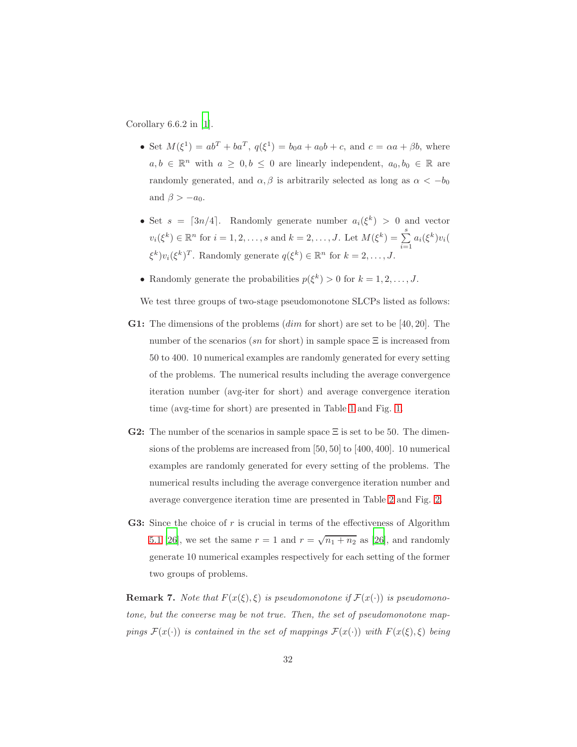Corollary  $6.6.2$  in [\[1](#page-34-2)].

- Set  $M(\xi^1) = ab^T + ba^T$ ,  $q(\xi^1) = b_0a + a_0b + c$ , and  $c = \alpha a + \beta b$ , where  $a, b \in \mathbb{R}^n$  with  $a \geq 0, b \leq 0$  are linearly independent,  $a_0, b_0 \in \mathbb{R}$  are randomly generated, and  $\alpha, \beta$  is arbitrarily selected as long as  $\alpha < -b_0$ and  $\beta > -a_0$ .
- Set  $s = \lceil 3n/4 \rceil$ . Randomly generate number  $a_i(\xi^k) > 0$  and vector  $v_i(\xi^k) \in \mathbb{R}^n$  for  $i = 1, 2, ..., s$  and  $k = 2, ..., J$ . Let  $M(\xi^k) = \sum_{i=1}^s$  $\sum_{i=1} a_i(\xi^k)v_i($  $\xi^k)v_i(\xi^k)^T$ . Randomly generate  $q(\xi^k) \in \mathbb{R}^n$  for  $k = 2, \ldots, J$ .
- Randomly generate the probabilities  $p(\xi^k) > 0$  for  $k = 1, 2, ..., J$ .

We test three groups of two-stage pseudomonotone SLCPs listed as follows:

- **G1:** The dimensions of the problems  $(dim$  for short) are set to be [40, 20]. The number of the scenarios (sn for short) in sample space  $\Xi$  is increased from 50 to 400. 10 numerical examples are randomly generated for every setting of the problems. The numerical results including the average convergence iteration number (avg-iter for short) and average convergence iteration time (avg-time for short) are presented in Table [1](#page-32-0) and Fig. [1.](#page-32-1)
- **G2:** The number of the scenarios in sample space  $\Xi$  is set to be 50. The dimensions of the problems are increased from [50, 50] to [400, 400]. 10 numerical examples are randomly generated for every setting of the problems. The numerical results including the average convergence iteration number and average convergence iteration time are presented in Table [2](#page-33-0) and Fig. [2.](#page-33-1)
- **G3:** Since the choice of  $r$  is crucial in terms of the effectiveness of Algorithm [5.1](#page-14-0) [\[26\]](#page-37-1), we set the same  $r = 1$  and  $r = \sqrt{n_1 + n_2}$  as [\[26](#page-37-1)], and randomly generate 10 numerical examples respectively for each setting of the former two groups of problems.

**Remark 7.** Note that  $F(x(\xi), \xi)$  is pseudomonotone if  $F(x(\cdot))$  is pseudomonotone, but the converse may be not true. Then, the set of pseudomonotone mappings  $\mathcal{F}(x(\cdot))$  is contained in the set of mappings  $\mathcal{F}(x(\cdot))$  with  $F(x(\xi), \xi)$  being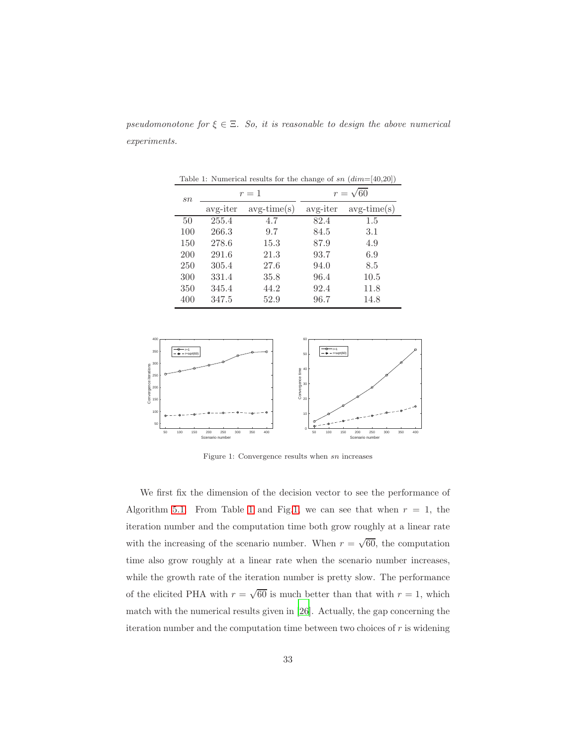<span id="page-32-0"></span>

| Table 1: Numerical results for the change of sn $(dim=[40,20])$ |          |               |                 |               |  |  |  |
|-----------------------------------------------------------------|----------|---------------|-----------------|---------------|--|--|--|
| sn                                                              | $r=1$    |               | $r = \sqrt{60}$ |               |  |  |  |
|                                                                 | avg-iter | $avg-time(s)$ | avg-iter        | $avg-time(s)$ |  |  |  |
| 50                                                              | 255.4    | 4.7           | 82.4            | 1.5           |  |  |  |
| 100                                                             | 266.3    | 9.7           | 84.5            | 3.1           |  |  |  |
| 150                                                             | 278.6    | 15.3          | 87.9            | 4.9           |  |  |  |
| 200                                                             | 291.6    | 21.3          | 93.7            | 6.9           |  |  |  |
| 250                                                             | 305.4    | 27.6          | 94.0            | 8.5           |  |  |  |
| 300                                                             | 331.4    | 35.8          | 96.4            | 10.5          |  |  |  |
| 350                                                             | 345.4    | 44.2          | 92.4            | 11.8          |  |  |  |
| 400                                                             | 347.5    | 52.9          | 96.7            | 14.8          |  |  |  |

pseudomonotone for  $\xi \in \Xi$ . So, it is reasonable to design the above numerical experiments.



<span id="page-32-1"></span>Figure 1: Convergence results when sn increases

We first fix the dimension of the decision vector to see the performance of Algorithm [5.1.](#page-14-0) From Table [1](#page-32-0) and Fig[.1,](#page-32-1) we can see that when  $r = 1$ , the iteration number and the computation time both grow roughly at a linear rate with the increasing of the scenario number. When  $r = \sqrt{60}$ , the computation time also grow roughly at a linear rate when the scenario number increases, while the growth rate of the iteration number is pretty slow. The performance of the elicited PHA with  $r = \sqrt{60}$  is much better than that with  $r = 1$ , which match with the numerical results given in [\[26\]](#page-37-1). Actually, the gap concerning the iteration number and the computation time between two choices of  $r$  is widening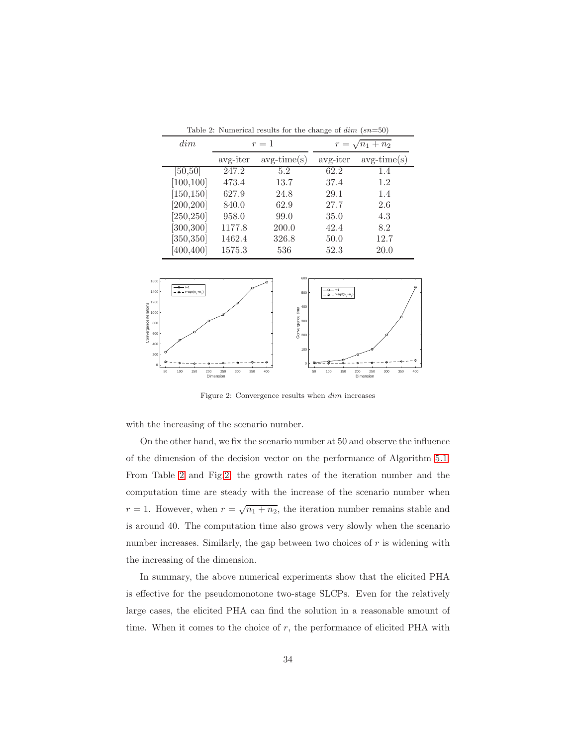| dim        | $r=1$    |               | $r = \sqrt{n_1 + n_2}$ |               |
|------------|----------|---------------|------------------------|---------------|
|            | avg-iter | $avg-time(s)$ | avg-iter               | $avg-time(s)$ |
| [50, 50]   | 247.2    | 5.2           | 62.2                   | 1.4           |
| [100, 100] | 473.4    | 13.7          | 37.4                   | 1.2           |
| [150, 150] | 627.9    | 24.8          | 29.1                   | 1.4           |
| [200, 200] | 840.0    | 62.9          | 27.7                   | 2.6           |
| [250, 250] | 958.0    | 99.0          | 35.0                   | 4.3           |
| [300, 300] | 1177.8   | 200.0         | 42.4                   | 8.2           |
| [350, 350] | 1462.4   | 326.8         | 50.0                   | 12.7          |
| [400, 400] | 1575.3   | 536           | 52.3                   | 20.0          |

<span id="page-33-0"></span>Table 2: Numerical results for the change of  $dim (sn=50)$ 



<span id="page-33-1"></span>Figure 2: Convergence results when dim increases

with the increasing of the scenario number.

On the other hand, we fix the scenario number at 50 and observe the influence of the dimension of the decision vector on the performance of Algorithm [5.1.](#page-14-0) From Table [2](#page-33-0) and Fig[.2,](#page-33-1) the growth rates of the iteration number and the computation time are steady with the increase of the scenario number when  $r = 1$ . However, when  $r = \sqrt{n_1 + n_2}$ , the iteration number remains stable and is around 40. The computation time also grows very slowly when the scenario number increases. Similarly, the gap between two choices of  $r$  is widening with the increasing of the dimension.

In summary, the above numerical experiments show that the elicited PHA is effective for the pseudomonotone two-stage SLCPs. Even for the relatively large cases, the elicited PHA can find the solution in a reasonable amount of time. When it comes to the choice of  $r$ , the performance of elicited PHA with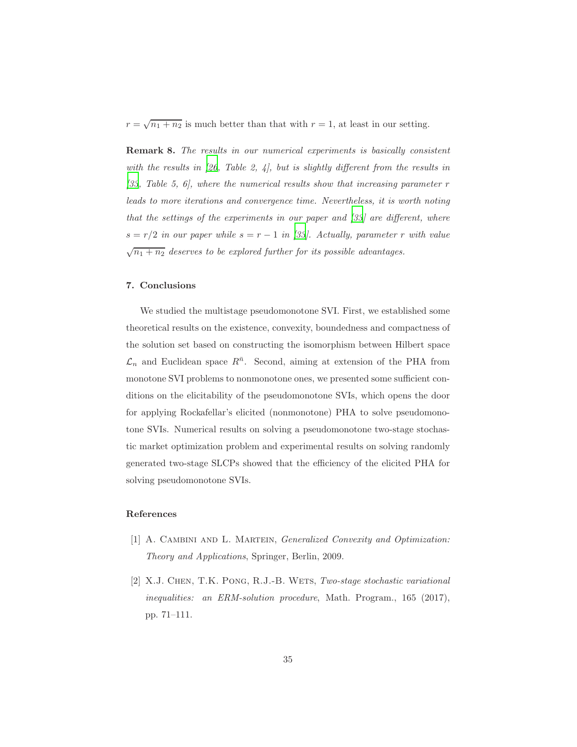$r = \sqrt{n_1 + n_2}$  is much better than that with  $r = 1$ , at least in our setting.

Remark 8. The results in our numerical experiments is basically consistent with the results in [\[26,](#page-37-1) Table 2, 4], but is slightly different from the results in  $[33, Table 5, 6]$  $[33, Table 5, 6]$ , where the numerical results show that increasing parameter r leads to more iterations and convergence time. Nevertheless, it is worth noting that the settings of the experiments in our paper and [\[33\]](#page-38-4) are different, where  $s = r/2$  in our paper while  $s = r - 1$  in [\[33](#page-38-4)]. Actually, parameter r with value  $\sqrt{n_1 + n_2}$  deserves to be explored further for its possible advantages.

# <span id="page-34-1"></span>7. Conclusions

We studied the multistage pseudomonotone SVI. First, we established some theoretical results on the existence, convexity, boundedness and compactness of the solution set based on constructing the isomorphism between Hilbert space  $\mathcal{L}_n$  and Euclidean space  $R^{\bar{n}}$ . Second, aiming at extension of the PHA from monotone SVI problems to nonmonotone ones, we presented some sufficient conditions on the elicitability of the pseudomonotone SVIs, which opens the door for applying Rockafellar's elicited (nonmonotone) PHA to solve pseudomonotone SVIs. Numerical results on solving a pseudomonotone two-stage stochastic market optimization problem and experimental results on solving randomly generated two-stage SLCPs showed that the efficiency of the elicited PHA for solving pseudomonotone SVIs.

# References

- <span id="page-34-2"></span>[1] A. CAMBINI AND L. MARTEIN, *Generalized Convexity and Optimization:* Theory and Applications, Springer, Berlin, 2009.
- <span id="page-34-0"></span>[2] X.J. CHEN, T.K. PONG, R.J.-B. WETS, Two-stage stochastic variational inequalities: an ERM-solution procedure, Math. Program.,  $165$  (2017), pp. 71–111.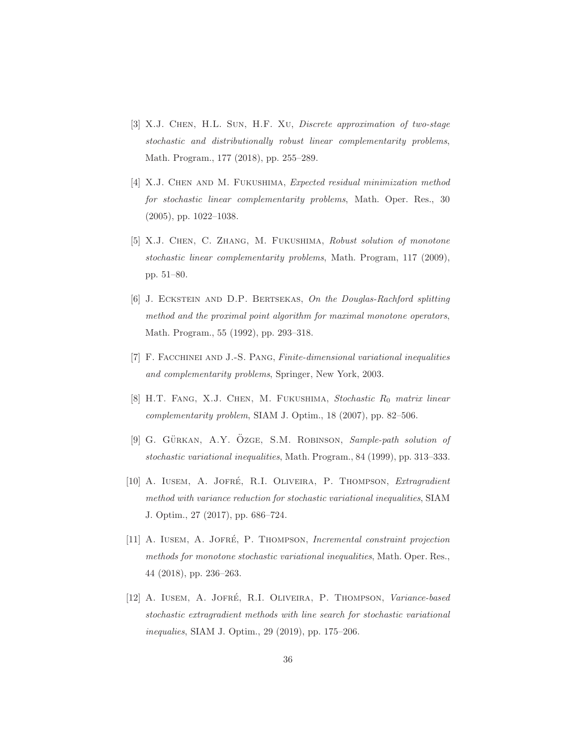- [3] X.J. Chen, H.L. Sun, H.F. Xu, Discrete approximation of two-stage stochastic and distributionally robust linear complementarity problems, Math. Program., 177 (2018), pp. 255–289.
- <span id="page-35-0"></span>[4] X.J. Chen and M. Fukushima, Expected residual minimization method for stochastic linear complementarity problems, Math. Oper. Res., 30 (2005), pp. 1022–1038.
- <span id="page-35-1"></span>[5] X.J. Chen, C. Zhang, M. Fukushima, Robust solution of monotone stochastic linear complementarity problems, Math. Program, 117 (2009), pp. 51–80.
- <span id="page-35-8"></span>[6] J. Eckstein and D.P. Bertsekas, On the Douglas-Rachford splitting method and the proximal point algorithm for maximal monotone operators, Math. Program., 55 (1992), pp. 293–318.
- <span id="page-35-7"></span>[7] F. Facchinei and J.-S. Pang, Finite-dimensional variational inequalities and complementarity problems, Springer, New York, 2003.
- <span id="page-35-2"></span>[8] H.T. FANG, X.J. CHEN, M. FUKUSHIMA, Stochastic  $R_0$  matrix linear complementarity problem, SIAM J. Optim., 18 (2007), pp. 82–506.
- <span id="page-35-3"></span>[9] G. GÜRKAN, A.Y. OZGE, S.M. ROBINSON, Sample-path solution of stochastic variational inequalities, Math. Program., 84 (1999), pp. 313–333.
- <span id="page-35-4"></span>[10] A. IUSEM, A. JOFRÉ, R.I. OLIVEIRA, P. THOMPSON, *Extragradient* method with variance reduction for stochastic variational inequalities, SIAM J. Optim., 27 (2017), pp. 686–724.
- <span id="page-35-5"></span>[11] A. IUSEM, A. JOFRÉ, P. THOMPSON, Incremental constraint projection methods for monotone stochastic variational inequalities, Math. Oper. Res., 44 (2018), pp. 236–263.
- <span id="page-35-6"></span>[12] A. IUSEM, A. JOFRÉ, R.I. OLIVEIRA, P. THOMPSON, Variance-based stochastic extragradient methods with line search for stochastic variational inequalies, SIAM J. Optim., 29 (2019), pp. 175–206.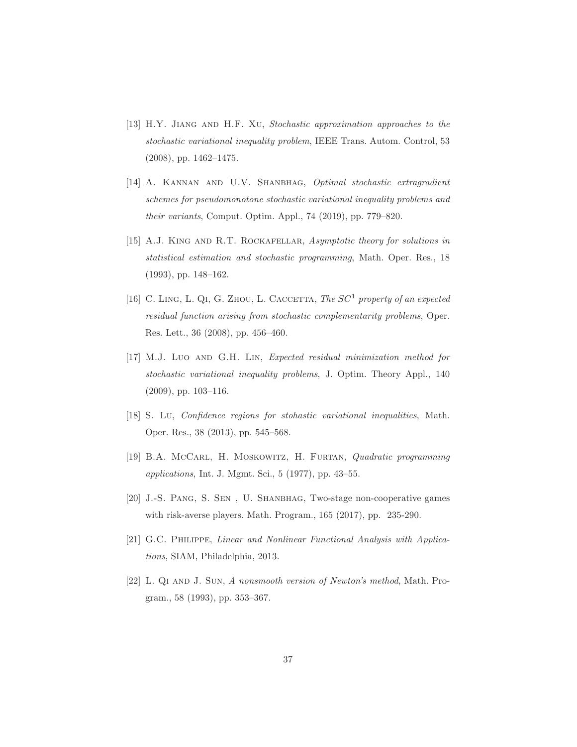- <span id="page-36-1"></span>[13] H.Y. JIANG AND H.F. XU, Stochastic approximation approaches to the stochastic variational inequality problem, IEEE Trans. Autom. Control, 53 (2008), pp. 1462–1475.
- <span id="page-36-6"></span>[14] A. Kannan and U.V. Shanbhag, Optimal stochastic extragradient schemes for pseudomonotone stochastic variational inequality problems and their variants, Comput. Optim. Appl., 74 (2019), pp. 779–820.
- <span id="page-36-2"></span>[15] A.J. KING AND R.T. ROCKAFELLAR, Asymptotic theory for solutions in statistical estimation and stochastic programming, Math. Oper. Res., 18 (1993), pp. 148–162.
- <span id="page-36-3"></span>[16] C. LING, L. QI, G. ZHOU, L. CACCETTA, The  $SC<sup>1</sup>$  property of an expected residual function arising from stochastic complementarity problems, Oper. Res. Lett., 36 (2008), pp. 456–460.
- <span id="page-36-4"></span>[17] M.J. Luo AND G.H. LIN, Expected residual minimization method for stochastic variational inequality problems, J. Optim. Theory Appl., 140 (2009), pp. 103–116.
- <span id="page-36-5"></span>[18] S. Lu, Confidence regions for stohastic variational inequalities, Math. Oper. Res., 38 (2013), pp. 545–568.
- <span id="page-36-9"></span>[19] B.A. McCarl, H. Moskowitz, H. Furtan, Quadratic programming applications, Int. J. Mgmt. Sci., 5 (1977), pp. 43–55.
- <span id="page-36-0"></span>[20] J.-S. Pang, S. Sen , U. Shanbhag, Two-stage non-cooperative games with risk-averse players. Math. Program., 165 (2017), pp. 235-290.
- <span id="page-36-7"></span>[21] G.C. Philippe, Linear and Nonlinear Functional Analysis with Applications, SIAM, Philadelphia, 2013.
- <span id="page-36-8"></span>[22] L. QI AND J. SUN, A nonsmooth version of Newton's method, Math. Program., 58 (1993), pp. 353–367.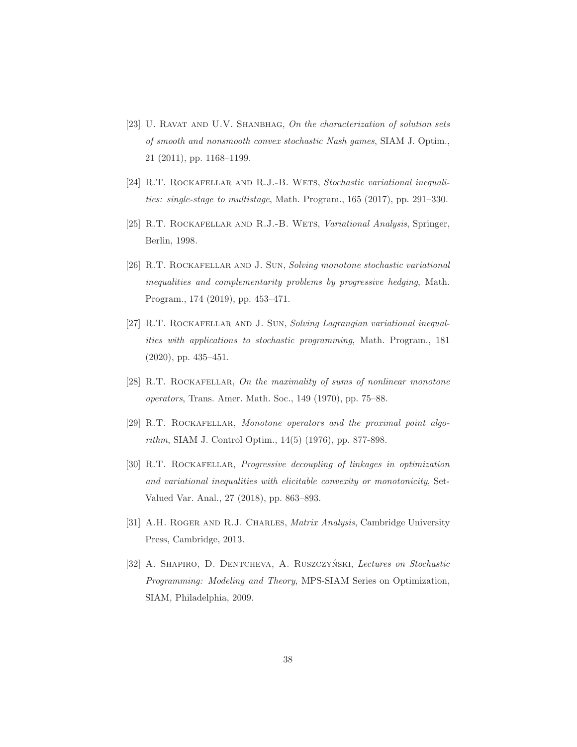- <span id="page-37-3"></span>[23] U. RAVAT AND U.V. SHANBHAG, On the characterization of solution sets of smooth and nonsmooth convex stochastic Nash games, SIAM J. Optim., 21 (2011), pp. 1168–1199.
- <span id="page-37-0"></span>[24] R.T. ROCKAFELLAR AND R.J.-B. WETS, Stochastic variational inequalities: single-stage to multistage, Math. Program., 165 (2017), pp. 291–330.
- <span id="page-37-7"></span>[25] R.T. ROCKAFELLAR AND R.J.-B. WETS, Variational Analysis, Springer, Berlin, 1998.
- <span id="page-37-1"></span>[26] R.T. ROCKAFELLAR AND J. SUN, Solving monotone stochastic variational inequalities and complementarity problems by progressive hedging, Math. Program., 174 (2019), pp. 453–471.
- <span id="page-37-2"></span>[27] R.T. Rockafellar and J. Sun, Solving Lagrangian variational inequalities with applications to stochastic programming, Math. Program., 181 (2020), pp. 435–451.
- <span id="page-37-8"></span>[28] R.T. ROCKAFELLAR, On the maximality of sums of nonlinear monotone operators, Trans. Amer. Math. Soc., 149 (1970), pp. 75–88.
- <span id="page-37-4"></span>[29] R.T. Rockafellar, Monotone operators and the proximal point algorithm, SIAM J. Control Optim., 14(5) (1976), pp. 877-898.
- <span id="page-37-6"></span>[30] R.T. ROCKAFELLAR, *Progressive decoupling of linkages in optimization* and variational inequalities with elicitable convexity or monotonicity, Set-Valued Var. Anal., 27 (2018), pp. 863–893.
- <span id="page-37-5"></span>[31] A.H. ROGER AND R.J. CHARLES, *Matrix Analysis*, Cambridge University Press, Cambridge, 2013.
- [32] A. SHAPIRO, D. DENTCHEVA, A. RUSZCZYŃSKI, Lectures on Stochastic Programming: Modeling and Theory, MPS-SIAM Series on Optimization, SIAM, Philadelphia, 2009.